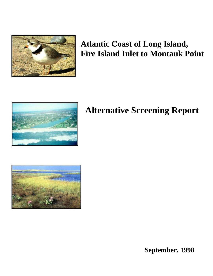

# **Atlantic Coast of Long Island, Fire Island Inlet to Montauk Point**



# **Alternative Screening Report**



**September, 1998**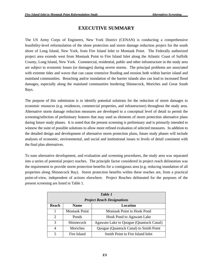# **EXECUTIVE SUMMARY**

The US Army Corps of Engineers, New York District (CENAN) is conducting a comprehensive feasibility-level reformulation of the shore protection and storm damage reduction project for the south shore of Long Island, New York, from Fire Island Inlet to Montauk Point. The Federally authorized project area extends west from Montauk Point to Fire Island Inlet along the Atlantic Coast of Suffolk County, Long Island, New York. Commercial, residential, public and other infrastructure in the study area are subject to economic losses (or damages) during severe storms. The principal problems are associated with extreme tides and waves that can cause extensive flooding and erosion both within barrier island and mainland communities. Breaching and/or inundation of the barrier islands also can lead to increased flood damages, especially along the mainland communities bordering Shinnecock, Moriches and Great South Bays.

The purpose of this submission is to identify potential solutions for the reduction of storm damages to economic resources (e.g. residences, commercial properties, and infrastructure) throughout the study area. Alternative storm damage reduction measures are developed to a conceptual level of detail to permit the screening/selection of preliminary features that may used as elements of storm protection alternative plans during future study phases. It is noted that the present screening is preliminary and is primarily intended to winnow the suite of possible solutions to allow more refined evaluation of selected measures. In addition to the detailed design and development of alternative storm protection plans, future study phases will include analyses of economic, environmental, and social and institutional issues to levels of detail consistent with the final plan alternatives.

To ease alternative development, and evaluation and screening procedures, the study area was separated into a series of potential project reaches. The principle factor considered in project reach delineation was the requirement to provide storm protection benefits for a contiguous area (e.g. reducing inundation of all properties along Shinnecock Bay). Storm protection benefits within these reaches are, from a practical point-of-view, independent of actions elsewhere. Project Reaches delineated for the purposes of the present screening are listed in Table 1.

| Table 1<br><b>Project Reach Designations</b> |                         |                                        |  |  |  |
|----------------------------------------------|-------------------------|----------------------------------------|--|--|--|
| Reach                                        | Location<br><b>Name</b> |                                        |  |  |  |
| 1                                            | <b>Montauk Point</b>    | Montauk Point to Hook Pond             |  |  |  |
| $\overline{2}$                               | Ponds                   | Hook Pond to Agawam Lake               |  |  |  |
| 3                                            | <b>Shinnecock</b>       | Agawam Lake to Quogue (Quantuck Canal) |  |  |  |
| 4                                            | Moriches                | Quogue (Quantuck Canal) to Smith Point |  |  |  |
| 5                                            | Fire Island             | Smith Point to Fire Island Inlet       |  |  |  |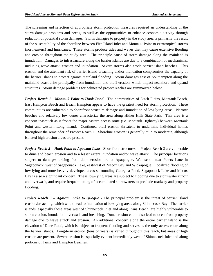The screening and selection of appropriate storm protection measures required an understanding of the storm damage problems and needs, as well as the opportunities to enhance economic activity through reduction of potential storm damages. Storm damages to property in the study area is primarily the result of the susceptibility of the shoreline between Fire Island Inlet and Montauk Point to extratropical storms (northeasters) and hurricanes. These storms produce tides and waves that may cause extensive flooding and erosion throughout the study area. The principle cause of storm damage along the mainland is inundation. Damages to infrastructure along the barrier islands are due to a combination of mechanisms, including wave attack, erosion and inundation. Severe storms also erode barrier island beaches. This erosion and the attendant risk of barrier island breaching and/or inundation compromises the capacity of the barrier islands to protect against mainland flooding. Storm damages east of Southampton along the mainland coast arise principally from inundation and bluff erosion, which impact nearshore and upland structures. Storm damage problems for delineated project reaches are summarized below.

*Project Reach 1 - Montauk Point to Hook Pond -* The communities of Ditch Plains, Montauk Beach, East Hampton Beach and Beach Hampton appear to have the greatest need for storm protection. These communities are vulnerable to shorefront structure damage and inundation of low-lying areas. Narrow beaches and relatively low dunes characterize the area along Hither Hills State Park. This area is a concern inasmuch as it fronts the major eastern access route (i.e. Montauk Highway) between Montauk Point and western Long Island. Continued bluff erosion threatens to undermine individual homes throughout the remainder of Project Reach 1. Shoreline erosion is generally mild to moderate, although isolated high erosion areas are present.

*Project Reach 2 – Hook Pond to Agawam Lake -* Shorefront structures in Project Reach 2 are vulnerable to dune and beach erosion and to a lesser extent inundation and/or wave attack. The principal locations subject to damages arising from dune erosion are at Apaquogue, Wainscott, near Peters Lane in Sagaponack, west of Sagaponack Lake, east/west of Mecox Bay and Wickapogue. Localized flooding of low-lying and more heavily developed areas surrounding Georgica Pond, Sagaponack Lake and Mecox Bay is also a significant concern. These low-lying areas are subject to flooding due to stormwater runoff and overwash, and require frequent letting of accumulated stormwaters to preclude roadway and property flooding.

*Project Reach 3 – Agawam Lake to Quogue -* The principal problem is the threat of barrier island erosion/breaching, which would lead to inundation of low-lying areas along Shinnecock Bay. The barrier islands, especially those areas west of Shinnecock Inlet and along Tiana Beach, are highly vulnerable to storm erosion, inundation, overwash and breaching. Dune erosion could also lead to oceanfront property damage due to wave attack and erosion. An additional concern along the entire barrier island is the elevation of Dune Road, which is subject to frequent flooding and serves as the only access route along the barrier islands. Long-term erosion (tens of years) is varied throughout this reach, but areas of high erosion are present. Severe erosion is especially evident immediately west of Shinnecock Inlet and along portions of Tiana and Hampton Beaches.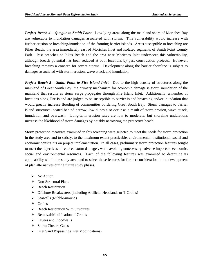*Project Reach 4 – Quogue to Smith Point -* Low-lying areas along the mainland shore of Moriches Bay are vulnerable to inundation damages associated with storms. This vulnerability would increase with further erosion or breaching/inundation of the fronting barrier islands. Areas susceptible to breaching are Pikes Beach, the area immediately east of Moriches Inlet and isolated segments of Smith Point County Park. Past breaches at Pikes Beach and the area near Moriches Inlet underscore this vulnerability, although breach potential has been reduced at both locations by past construction projects. However, breaching remains a concern for severe storms. Development along the barrier shoreline is subject to damages associated with storm erosion, wave attack and inundation.

*Project Reach 5 – Smith Point to Fire Island Inlet -* Due to the high density of structures along the mainland of Great South Bay, the primary mechanism for economic damage is storm inundation of the mainland that results as storm surge propagates through Fire Island Inlet. Additionally, a number of locations along Fire Island are judged to be susceptible to barrier island breaching and/or inundation that would greatly increase flooding of communities bordering Great South Bay. Storm damages to barrier island structures located behind narrow, low dunes also occur as a result of storm erosion, wave attack, inundation and overwash. Long-term erosion rates are low to moderate, but shoreline undulations increase the likelihood of storm damages by notably narrowing the protective beach.

Storm protection measures examined in this screening were selected to meet the needs for storm protection in the study area and to satisfy, to the maximum extent practicable, environmental, institutional, social and economic constraints on project implementation. In all cases, preliminary storm protection features sought to meet the objectives of reduced storm damages, while avoiding unnecessary, adverse impacts to economic, social and environmental resources. Each of the following features was examined to determine its applicability within the study area, and to select those features for further consideration in the development of plan alternatives during future study phases.

- $\triangleright$  No Action
- $\triangleright$  Non-Structural Plans
- $\triangleright$  Beach Restoration
- ¾ Offshore Breakwaters (including Artificial Headlands or T-Groins)
- $\triangleright$  Seawalls (Rubble-mound)
- $\triangleright$  Groins
- $\triangleright$  Beach Restoration With Structures
- $\triangleright$  Removal/Modification of Groins
- $\triangleright$  Levees and Floodwalls
- ¾ Storm Closure Gates
- $\triangleright$  Inlet Sand Bypassing (Inlet Modifications)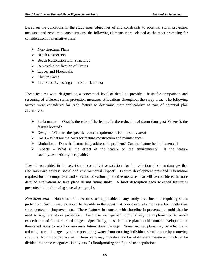Based on the conditions in the study area, objectives of and constraints to potential storm protection measures and economic considerations, the following elements were selected as the most promising for consideration in alternative plans.

- $\triangleright$  Non-structural Plans
- ¾ Beach Restoration
- $\triangleright$  Beach Restoration with Structures
- $\triangleright$  Removal/Modification of Groins
- $\triangleright$  Levees and Floodwalls
- $\triangleright$  Closure Gates
- $\triangleright$  Inlet Sand Bypassing (Inlet Modifications)

These features were designed to a conceptual level of detail to provide a basis for comparison and screening of different storm protection measures at locations throughout the study area. The following factors were considered for each feature to determine their applicability as part of potential plan alternatives.

- $\triangleright$  Performance What is the role of the feature in the reduction of storm damages? Where is the feature located?
- $\triangleright$  Design What are the specific feature requirements for the study area?
- $\triangleright$  Costs What are the costs for feature construction and maintenance?
- $\triangleright$  Limitations Does the feature fully address the problem? Can the feature be implemented?
- $\triangleright$  Impacts What is the effect of the feature on the environment? Is the feature socially/aesthetically acceptable?

These factors aided in the selection of cost-effective solutions for the reduction of storm damages that also minimize adverse social and environmental impacts. Feature development provided information required for the comparison and selection of various protective measures that will be considered in more detailed evaluations to take place during future study. A brief description each screened feature is presented in the following several paragraphs.

*Non-Structural -* Non-structural measures are applicable to any study area location requiring storm protection. Such measures would be feasible in the event that non-structural actions are less costly than shore protection improvements. These features in concert with shoreline improvements could also be used to augment storm protection. Land use management options may be implemented to avoid exacerbation of future storm damages. Specifically, these land use plans could control development in threatened areas to avoid or minimize future storm damage. Non-structural plans may be effective in reducing storm damages by either preventing water from entering individual structures or by removing structures from flood prone areas. These plans may include a number of different measures, which can be divided into three categories: 1) buyouts, 2) floodproofing and 3) land use regulations.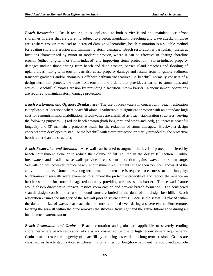*Beach Restoration -* Beach restoration is applicable to both barrier island and mainland oceanfront shorelines in areas that are currently subject to erosion, inundation, breaching and wave attack. In those areas where erosion may lead to increased damage vulnerability, beach restoration is a suitable method for abating shoreline erosion and minimizing storm damages. Beach restoration is particularly useful at locations characterized by minor or moderate erosion, where it can be effective in abating shoreline erosion (either long-term or storm-induced) and improving storm protection. Storm-induced property damages include those arising from beach and dune erosion, barrier island breaches and flooding of upland areas. Long-term erosion can also cause property damage and results from longshore sediment transport gradients and/or anomalous offshore bathymetric features. A beachfill normally consists of a design berm that protects the dune from erosion, and a dune that provides a barrier to storm tides and waves. Beachfill alleviates erosion by providing a sacrificial storm barrier. Renourishment operations are required to maintain storm damage protection.

*Beach Restoration and Offshore Breakwaters -* The use of breakwaters in concert with beach restoration is applicable at locations where beachfill alone is vulnerable to significant erosion with an attendant high cost for renourishment/rehabilitation. Breakwaters are classified as beach stabilization structures, serving the following purposes: (1) reduce beach erosion (both long-term and storm-induced), (2) increase beachfill longevity and (3) maintain a protective beach for the reduction of storm damages. Breakwater design concepts were developed to stabilize the beachfill with storm protection primarily provided by the protective beach rather than the structures.

*Beach Restoration and Seawalls -* A seawall can be used to augment the level of protection offered by beach nourishment alone or to reduce the volume of fill required in the design fill section. Unlike breakwaters and headlands, seawalls provide direct storm protection against waves and storm surge. Seawalls do not, however, reduce beach renourishment requirements due to their position landward of the active littoral zone. Nonetheless, long-term beach maintenance is required to ensure structural integrity. Rubble-mound seawalls were examined to augment the protective capacity of and reduce the reliance on beach restoration for storm damage reduction by providing a robust storm barrier. The seawall feature would absorb direct wave impacts, restrict storm erosion and prevent breach formation. The considered seawall design consists of a rubble-mound structure buried in the dune of the design beachfill. Beach restoration ensures the integrity of the seawall prior to severe storms. Because the seawall is placed within the dune, the size of waves that reach the structure is limited even during a severe event. Furthermore, locating the seawall within the dune removes the structure from sight and the active littoral zone during all but the most extreme storms.

*Beach Restoration and Groins* - Beach restoration and groins are applicable to severely eroding shorelines where beach restoration alone is not cost-effective due to high renourishment requirements. Groins can increase the longevity of beachfill by reducing losses due to long-term erosion. Groins are classified as beach stabilization structures. Groins interrupt longshore sediment transport and promote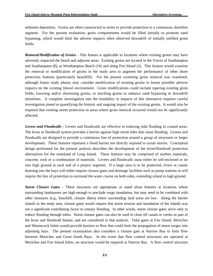sediment deposition. Groins are often constructed in series to provide protection to a continuous shoreline segment. For the present evaluation, groin compartments would be filled initially to promote sand bypassing, which would limit the adverse impacts often observed downdrift of initially unfilled groin fields.

*Removal/Modification of Groins -* This feature is applicable to locations where existing groins may have adversely impacted the beach and adjacent areas. Existing groins are located in the Towns of Easthampton and Southampton (8), at Westhampton Beach (16) and along Fire Island (2). This feature would examine the removal or modification of groins in the study area to augment the performance of other shore protection features (particularly beachfill). For the present screening groin removal was examined, although future study phases may consider modification of existing groins to lessen possible adverse impacts on the existing littoral environment. Groin modifications could include tapering existing groin fields, lowering and/or shortening groins, or notching groins to enhance sand bypassing to downdrift shorelines. A complete investigation into the feasibility or impacts of this alternative requires careful investigation aimed at quantifying the historic and ongoing impact of the existing groins. It would also be required that existing storm protection in areas where groin removal occurred would not be significantly affected.

*Levees and Floodwalls -* Levees and floodwalls are effective in reducing tidal flooding in coastal areas. The levee or floodwall system provides a barrier against high storm tides that cause flooding. Levees and floodwalls are designed to provide a continuous line of protection around a group of structures or larger development. These features represent a flood barrier not directly exposed to ocean storms. Conceptual design performed for the present analysis describes the development of the levee/floodwall protection alternatives for the mainland of Long Island. These features may be comprised of earthen materials, concrete, rock or a combination of materials. Levees and floodwalls must either be self-enclosed or tie into high ground at each end of a project segment. If a large area is to be protected, rivers or canals draining into the bays will either require closure gates and drainage facilities such as pump stations or will require the line of protection to surround the water course on both sides, extending inland to high ground.

*Storm Closure Gates -* These structures are appropriate as stand alone features at locations where surrounding landmasses are high enough to preclude surge inundation, but may need to be combined with other measures (e.g., beachfill, closure dikes) where surrounding land areas are low. Along the barrier islands in the study area, closure gates would require that storm erosion and inundation of the islands was not a significant contributing factor to estuary flooding. In other words, storm closure gates serve only to reduce flooding through inlets. Storm closure gates can also be used to close off canals or creeks as part of the levee and floodwall feature, and are considered in that analysis. Tidal gates at Fire Island, Moriches T and Shinnecock Inlets would provide barriers to flow that could limit the propagation of storm surges into adjoining bays. The present examination also considers a closure gate at Narrow Bay to limit flow between Moriches and Great South Bays. In the event that flow control structures are operated at Moriches and Fire Island Inlets, no structure would be required at Narrow Bay. A flow control structure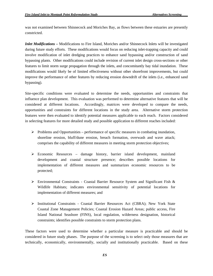was not examined between Shinnecock and Moriches Bay, as flows between these estuaries are presently constricted.

*Inlet Modifications –* Modifications to Fire Island, Moriches and/or Shinnecock Inlets will be investigated during future study efforts. These modifications would focus on reducing inlet-trapping capacity and could involve modification of inlet dredging practices to enhance sand bypassing and/or construction of sand bypassing plants. Other modifications could include revision of current inlet design cross-sections or other features to limit storm surge propagation through the inlets, and concomitantly bay tidal inundation. These modifications would likely be of limited effectiveness without other shorefront improvements, but could improve the performance of other features by reducing erosion downdrift of the inlets (i.e., enhanced sand bypassing).

Site-specific conditions were evaluated to determine the needs, opportunities and constraints that influence plan development. This evaluation was performed to determine alternative features that will be considered at different locations. Accordingly, matrices were developed to compare the needs, opportunities and constraints for different locations in the study area. Alternative storm protection features were then evaluated to identify potential measures applicable to each reach. Factors considered in selecting features for more detailed study and possible application to different reaches included:

- $\triangleright$  Problems and Opportunities performance of specific measures in combating inundation, shoreline erosion, bluff/dune erosion, breach formation, overwash and wave attack; comprises the capability of different measures in meeting storm protection objectives;
- $\triangleright$  Economic Resources damage history, barrier island development, mainland development and coastal structure presence; describes possible locations for implementation of different measures and summarizes economic resources to be protected;
- $\triangleright$  Environmental Constraints Coastal Barrier Resource System and Significant Fish & Wildlife Habitats; indicates environmental sensitivity of potential locations for implementation of different measures; and
- ¾ Institutional Constraints Coastal Barrier Resources Act (CBRA); New York State Coastal Zone Management Policies; Coastal Erosion Hazard Areas; public access, Fire Island National Seashore (FINS), local regulation, wilderness designation, historical constraints; identifies possible constraints to storm protection plans.

These factors were used to determine whether a particular measure is practicable and should be considered in future study phases. The purpose of the screening is to select only those measures that are technically, economically, environmentally, socially and institutionally practicable. Based on these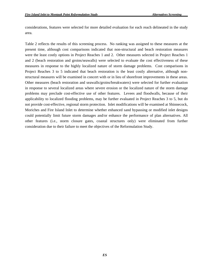considerations, features were selected for more detailed evaluation for each reach delineated in the study area.

Table 2 reflects the results of this screening process. No ranking was assigned to these measures at the present time, although cost comparisons indicated that non-structural and beach restoration measures were the least costly options in Project Reaches 1 and 2. Other measures selected in Project Reaches 1 and 2 (beach restoration and groins/seawalls) were selected to evaluate the cost effectiveness of these measures in response to the highly localized nature of storm damage problems. Cost comparisons in Project Reaches 3 to 5 indicated that beach restoration is the least costly alternative, although nonstructural measures will be examined in concert with or in lieu of shorefront improvements in these areas. Other measures (beach restoration and seawalls/groins/breakwaters) were selected for further evaluation in response to several localized areas where severe erosion or the localized nature of the storm damage problems may preclude cost-effective use of other features. Levees and floodwalls, because of their applicability to localized flooding problems, may be further evaluated in Project Reaches 3 to 5, but do not provide cost-effective, regional storm protection. Inlet modifications will be examined at Shinnecock, Moriches and Fire Island Inlet to determine whether enhanced sand bypassing or modified inlet designs could potentially limit future storm damages and/or enhance the performance of plan alternatives. All other features (i.e., storm closure gates, coastal structures only) were eliminated from further consideration due to their failure to meet the objectives of the Reformulation Study.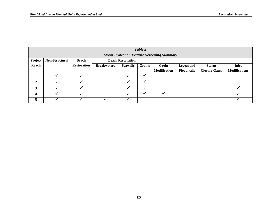|                  | Table 2                                           |                    |                          |                 |           |                     |                   |                      |                      |
|------------------|---------------------------------------------------|--------------------|--------------------------|-----------------|-----------|---------------------|-------------------|----------------------|----------------------|
|                  | <b>Storm Protection Feature Screening Summary</b> |                    |                          |                 |           |                     |                   |                      |                      |
| Project          | Non-Structural                                    | <b>Beach</b>       | <b>Beach Restoration</b> |                 |           |                     |                   |                      |                      |
| Reach            |                                                   | <b>Restoration</b> | <b>Breakwaters</b>       | <b>Seawalls</b> | Groins    | Groin               | <b>Levees</b> and | <b>Storm</b>         | <b>Inlet</b>         |
|                  |                                                   |                    |                          |                 |           | <b>Modification</b> | <b>Floodwalls</b> | <b>Closure Gates</b> | <b>Modifications</b> |
|                  |                                                   |                    |                          |                 |           |                     |                   |                      |                      |
| 2                |                                                   |                    |                          |                 |           |                     |                   |                      |                      |
| 3                |                                                   |                    |                          |                 |           |                     |                   |                      |                      |
| $\boldsymbol{4}$ |                                                   |                    |                          |                 | $\bullet$ |                     |                   |                      |                      |
| 5                |                                                   |                    |                          |                 |           |                     |                   |                      |                      |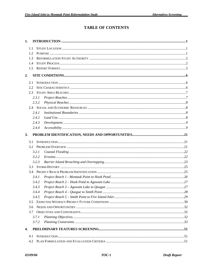# **TABLE OF CONTENTS**

| 1.         |       |  |
|------------|-------|--|
| 1.1        |       |  |
| 1.2        |       |  |
| 1.3        |       |  |
| 1.4        |       |  |
| 1.5        |       |  |
| 2.         |       |  |
| 2.1        |       |  |
| 2.2        |       |  |
| 2.3        |       |  |
|            | 2.3.1 |  |
|            | 2.3.2 |  |
|            |       |  |
|            | 2.4.1 |  |
|            | 2.4.2 |  |
|            | 2.4.3 |  |
|            | 2.4.4 |  |
| 3.         |       |  |
|            |       |  |
| 3.1        |       |  |
| 3.2        |       |  |
|            | 3.2.1 |  |
|            | 3.2.2 |  |
|            | 3.2.3 |  |
| 3.3<br>3.4 |       |  |
|            | 3.4.1 |  |
|            | 3.4.2 |  |
|            | 3.4.3 |  |
|            | 3.4.4 |  |
|            |       |  |
| 3.5        |       |  |
| 3.6        |       |  |
| 3.7        |       |  |
|            | 3.7.1 |  |
|            | 3.7.2 |  |
| 4.         |       |  |
|            |       |  |
| 4.1<br>4.2 |       |  |
|            |       |  |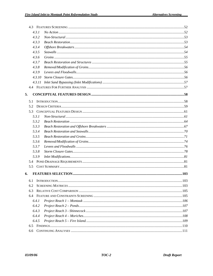| 4.3.1  |                  |      |
|--------|------------------|------|
| 4.3.2  |                  |      |
| 4.3.3  |                  |      |
| 4.3.4  |                  |      |
| 4.3.5  |                  |      |
| 4.3.6  |                  |      |
| 4.3.7  |                  |      |
| 4.3.8  |                  |      |
| 4.3.9  |                  |      |
| 4.3.10 |                  |      |
|        |                  |      |
|        |                  |      |
| 5.     |                  |      |
|        |                  |      |
| 5.1    |                  |      |
| 5.2    |                  |      |
| 5.3    |                  |      |
| 5.3.1  |                  |      |
| 5.3.2  |                  |      |
| 5.3.3  |                  |      |
| 5.3.4  |                  |      |
| 5.3.5  |                  |      |
| 5.3.6  |                  |      |
| 5.3.7  |                  |      |
| 5.3.8  |                  |      |
| 5.3.9  |                  |      |
|        |                  |      |
| 5.5    |                  |      |
| 6.     |                  |      |
|        | 6.1 INTRODUCTION | .103 |
| 6.2    |                  |      |
| 6.3    |                  |      |
|        |                  |      |
| 6.4.1  |                  |      |
| 6.4.2  |                  |      |
| 6.4.3  |                  |      |
| 6.4.4  |                  |      |
| 6.4.5  |                  |      |
| 6.5    |                  |      |
| 6.6    |                  |      |
|        |                  |      |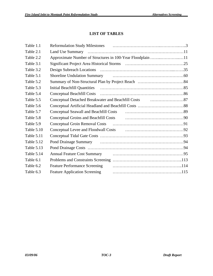# **LIST OF TABLES**

| Table 1.1  |                                                            |
|------------|------------------------------------------------------------|
| Table 2.1  |                                                            |
| Table 2.2  | Approximate Number of Structures in 100-Year Floodplain 11 |
| Table 3.1  |                                                            |
| Table 3.2  |                                                            |
| Table 5.1  |                                                            |
| Table 5.2  |                                                            |
| Table 5.3  |                                                            |
| Table 5.4  |                                                            |
| Table 5.5  |                                                            |
| Table 5.6  |                                                            |
| Table 5.7  | <b>Conceptual Seawall and Beachfill Costs</b>              |
| Table 5.8  |                                                            |
| Table 5.9  |                                                            |
| Table 5.10 |                                                            |
| Table 5.11 |                                                            |
| Table 5.12 |                                                            |
| Table 5.13 |                                                            |
| Table 5.14 | <b>Annual Feature Cost Summary</b>                         |
| Table 6.1  |                                                            |
| Table 6.2  | <b>Feature Performance Screening</b>                       |
| Table 6.3  | <b>Feature Application Screening</b>                       |
|            |                                                            |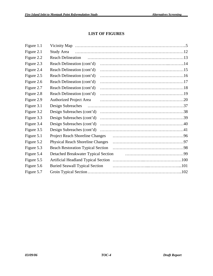# **LIST OF FIGURES**

| Figure 1.1 |                                            |
|------------|--------------------------------------------|
| Figure 2.1 | Study Area                                 |
| Figure 2.2 | <b>Reach Delineation</b>                   |
| Figure 2.3 | Reach Delineation (cont'd)                 |
| Figure 2.4 | Reach Delineation (cont'd)                 |
| Figure 2.5 | Reach Delineation (cont'd)                 |
| Figure 2.6 | Reach Delineation (cont'd)                 |
| Figure 2.7 | Reach Delineation (cont'd)                 |
| Figure 2.8 | Reach Delineation (cont'd)                 |
| Figure 2.9 | <b>Authorized Project Area</b>             |
| Figure 3.1 | Design Subreaches                          |
| Figure 3.2 | Design Subreaches (cont'd)                 |
| Figure 3.3 | Design Subreaches (cont'd)                 |
| Figure 3.4 | Design Subreaches (cont'd)                 |
| Figure 3.5 | Design Subreaches (cont'd)                 |
| Figure 5.1 | <b>Project Reach Shoreline Changes</b>     |
| Figure 5.2 | <b>Physical Reach Shoreline Changes</b>    |
| Figure 5.3 | <b>Beach Restoration Typical Section</b>   |
| Figure 5.4 | Detached Breakwater Typical Section        |
| Figure 5.5 | <b>Artificial Headland Typical Section</b> |
| Figure 5.6 | <b>Buried Seawall Typical Section</b>      |
| Figure 5.7 |                                            |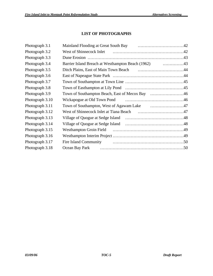# **LIST OF PHOTOGRAPHS**

| Photograph 3.1  | Mainland Flooding at Great South Bay manufactured and Theorem and Plooding at Great South Bay |
|-----------------|-----------------------------------------------------------------------------------------------|
| Photograph 3.2  |                                                                                               |
| Photograph 3.3  |                                                                                               |
| Photograph 3.4  |                                                                                               |
| Photograph 3.5  |                                                                                               |
| Photograph 3.6  |                                                                                               |
| Photograph 3.7  |                                                                                               |
| Photograph 3.8  |                                                                                               |
| Photograph 3.9  |                                                                                               |
| Photograph 3.10 |                                                                                               |
| Photograph 3.11 |                                                                                               |
| Photograph 3.12 |                                                                                               |
| Photograph 3.13 |                                                                                               |
| Photograph 3.14 |                                                                                               |
| Photograph 3.15 |                                                                                               |
| Photograph 3.16 |                                                                                               |
| Photograph 3.17 |                                                                                               |
| Photograph 3.18 | Ocean Bay Park                                                                                |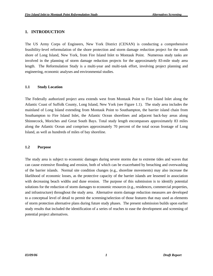# <span id="page-15-0"></span>**1. INTRODUCTION**

The US Army Corps of Engineers, New York District (CENAN) is conducting a comprehensive feasibility-level reformulation of the shore protection and storm damage reduction project for the south shore of Long Island, New York, from Fire Island Inlet to Montauk Point. Numerous study tasks are involved in the planning of storm damage reduction projects for the approximately 83-mile study area length. The Reformulation Study is a multi-year and multi-task effort, involving project planning and engineering, economic analyses and environmental studies.

#### **1.1 Study Location**

The Federally authorized project area extends west from Montauk Point to Fire Island Inlet along the Atlantic Coast of Suffolk County, Long Island, New York (see Figure 1.1). The study area includes the mainland of Long Island extending from Montauk Point to Southampton, the barrier island chain from Southampton to Fire Island Inlet, the Atlantic Ocean shorelines and adjacent back-bay areas along Shinnecock, Moriches and Great South Bays. Total study length encompasses approximately 83 miles along the Atlantic Ocean and comprises approximately 70 percent of the total ocean frontage of Long Island, as well as hundreds of miles of bay shoreline.

#### **1.2 Purpose**

The study area is subject to economic damages during severe storms due to extreme tides and waves that can cause extensive flooding and erosion, both of which can be exacerbated by breaching and overwashing of the barrier islands. Normal site condition changes (e.g., shoreline movements) may also increase the likelihood of economic losses, as the protective capacity of the barrier islands are lessened in association with decreasing beach widths and dune erosion. The purpose of this submission is to identify potential solutions for the reduction of storm damages to economic resources (e.g., residences, commercial properties, and infrastructure) throughout the study area. Alternative storm damage reduction measures are developed to a conceptual level of detail to permit the screening/selection of those features that may used as elements of storm protection alternative plans during future study phases. The present submission builds upon earlier study results that included the identification of a series of reaches to ease the development and screening of potential project alternatives.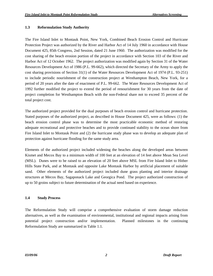#### <span id="page-16-0"></span>**1.3 Reformulation Study Authority**

The Fire Island Inlet to Montauk Point, New York, Combined Beach Erosion Control and Hurricane Protection Project was authorized by the River and Harbor Act of 14 July 1960 in accordance with House Document 425, 85th Congress, 2nd Session, dated 21 June 1960. The authorization was modified for the cost sharing of the beach erosion portion of the project in accordance with Section 103 of the River and Harbor Act of 12 October 1962. The project authorization was modified again by Section 31 of the Water Resources Development Act of 1986 (P.L. 99-662), which directed the Secretary of the Army to apply the cost sharing provisions of Section 31(1) of the Water Resources Development Act of 1974 (P.L. 93-251) to include periodic nourishment of the construction project at Westhampton Beach, New York, for a period of 20 years after the date of enactment of P.L. 99-662. The Water Resources Development Act of 1992 further modified the project to extend the period of renourishment for 30 years from the date of project completion for Westhampton Beach with the non-Federal share not to exceed 35 percent of the total project cost.

The authorized project provided for the dual purposes of beach erosion control and hurricane protection. Stated purposes of the authorized project, as described in House Document 425, were as follows: (1) the beach erosion control phase was to determine the most practicable economic method of restoring adequate recreational and protective beaches and to provide continued stability to the ocean shore from Fire Island Inlet to Montauk Point and (2) the hurricane study phase was to develop an adequate plan of protection against hurricane flooding for the same study area.

Elements of the authorized project included widening the beaches along the developed areas between Kismet and Mecox Bay to a minimum width of 100 feet at an elevation of 14 feet above Mean Sea Level (MSL). Dunes were to be raised to an elevation of 20 feet above MSL from Fire Island Inlet to Hither Hills State Park, and at Montauk and opposite Lake Montauk Harbor by artificial placement of suitable sand. Other elements of the authorized project included dune grass planting and interior drainage structures at Mecox Bay, Sagaponack Lake and Georgica Pond. The project authorized construction of up to 50 groins subject to future determination of the actual need based on experience.

#### **1.4 Study Process**

The Reformulation Study will comprise a comprehensive evaluation of storm damage reduction alternatives, as well as the examination of environmental, institutional and regional impacts arising from potential project construction and/or implementation. Planned milestones in the continuing Reformulation Study are summarized in Table 1.1.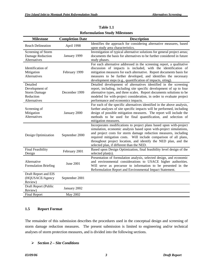<span id="page-17-0"></span>

| <b>Milestone</b>                                                               | <b>Completion Date</b> | <b>Description</b>                                                                                                                                                                                                                                                                                                                                                                                |
|--------------------------------------------------------------------------------|------------------------|---------------------------------------------------------------------------------------------------------------------------------------------------------------------------------------------------------------------------------------------------------------------------------------------------------------------------------------------------------------------------------------------------|
| <b>Reach Delineation</b>                                                       | April 1998             | Identifies the approach for considering alternative measures, based<br>upon study area characteristics.                                                                                                                                                                                                                                                                                           |
| Screening of Storm<br>Damage Reduction<br>Alternatives                         | January 1999           | Investigation of typical alternative solutions for general project areas;<br>documents the basis for alternatives to be further considered in future<br>study phases.                                                                                                                                                                                                                             |
| Identification of<br>Mitigation<br>Alternatives                                | February 1999          | For each alternative addressed in the screening report, a qualitative<br>discussion of impacts is included, with the identification of<br>mitigation measures for each alternative. Report documents basis for<br>measures to be further developed, and identifies the necessary<br>development steps (e.g., quantification of impacts, siting).                                                  |
| Detailed<br>Development of<br><b>Storm Damage</b><br>Reduction<br>Alternatives | December 1999          | Detailed development of alternatives identified in the screening<br>report, including, including site specific development of up to four<br>alternative types, and three scales. Report documents solutions to be<br>modeled for with-project consideration, in order to evaluate project<br>performance and economics impacts.                                                                   |
| Screening of<br>Mitigation<br>Alternatives                                     | January 2000           | For each of the specific alternatives identified in the above analysis,<br>further analyses of site specific impacts will be performed, including<br>design of possible mitigation measures. The report will include the<br>methods to be used for final quantification, and selection of<br>mitigation measures.                                                                                 |
| Design Optimization                                                            | September 2000         | Incorporates modifications to project plans based upon with-project<br>simulation, economic analysis based upon with-project simulations,<br>and project costs for storm damage reduction measures, including<br>required mitigation costs. Will include comparison of all plans,<br>throughout project location, and identify the NED plan, and the<br>selected plan, if different than the NED. |
| <b>Final Feasibility</b><br>Design                                             | February 2001          | Based upon Design Optimization, final feasibility level design of the<br>selected plan(s).                                                                                                                                                                                                                                                                                                        |
| Alternative<br><b>Formulation Briefing</b>                                     | <b>June 2001</b>       | Presentation of formulation analysis, selected design, and economic<br>and environmental considerations to USACE higher authorities.<br>Will serve as precursor to information to be presented in the<br>Reformulation Report and Environmental Impact Statement.                                                                                                                                 |
| Draft Report and EIS<br>(HQUSACE/Agency<br>Review)                             | September 2001         |                                                                                                                                                                                                                                                                                                                                                                                                   |
| Draft Report (Public<br>Review)                                                | January 2002           |                                                                                                                                                                                                                                                                                                                                                                                                   |
| <b>Final Report</b>                                                            | May 2002               |                                                                                                                                                                                                                                                                                                                                                                                                   |

**Table 1.1 Reformulation Study Milestones**

#### **1.5 Report Format**

The remainder of this submission describes the procedures used in the conceptual design and screening of storm damage reduction measures. The present submission is limited to engineering and/or technical analyses of storm protection measures, and is divided into the following sections.

#### ¾ *Section 2 – Site Conditions*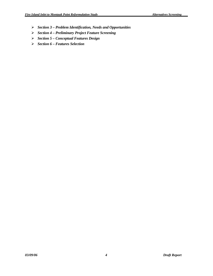- *Section 3 Problem Identification, Needs and Opportunities*
- *Section 4 Preliminary Project Feature Screening*
- *Section 5 Conceptual Features Design*
- *Section 6 Features Selection*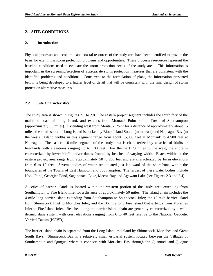# <span id="page-19-0"></span>**2. SITE CONDITIONS**

#### **2.1 Introduction**

Physical processes and economic and coastal resources of the study area have been identified to provide the basis for examining storm protection problems and opportunities. These processes/resources represent the baseline conditions used to evaluate the storm protection needs of the study area. This information is important in the screening/selection of appropriate storm protection measures that are consistent with the identified problems and conditions. Concurrent to the formulation of plans, the information presented below is being developed to a higher level of detail that will be consistent with the final design of storm protection alternative measures.

#### **2.2 Site Characteristics**

The study area is shown in Figures 2.1 to 2.8. The eastern project segment includes the south fork of the mainland coast of Long Island, and extends from Montauk Point to the Town of Southampton (approximately 33 miles). Extending west from Montauk Point for a distance of approximately about 15 miles, the south shore of Long Island is backed by Block Island Sound (to the east) and Napeague Bay (to the west). Island widths in this segment range from about 15,000 feet at Montauk to 4,500 feet at Napeague. The eastern 10-mile segment of the study area is characterized by a series of bluffs or headlands with elevations ranging up to 100 feet. For the next 23 miles to the west, the shore is characterized by lower bluffs and/or dunes fronted by beaches of varying width. Beach widths in the eastern project area range from approximately 50 to 200 feet and are characterized by berm elevations from 6 to 10 feet. Several bodies of water are situated just landward of the shorefront, within the boundaries of the Towns of East Hampton and Southampton. The largest of these water bodies include Hook Pond, Georgica Pond, Sagaponack Lake, Mecox Bay and Agawam Lake (see Figures 2.3 and 2.4).

A series of barrier islands is located within the western portion of the study area extending from Southampton to Fire Island Inlet for a distance of approximately 50 miles. The island chain includes the 4-mile long barrier island extending from Southampton to Shinnecock Inlet; the 15-mile barrier island from Shinnecock Inlet to Moriches Inlet; and the 30-mile long Fire Island that extends from Moriches Inlet to Fire Island Inlet. Beaches along the barrier island chain are generally characterized by a welldefined dune system with crest elevations ranging from 6 to 40 feet relative to the National Geodetic Vertical Datum (NGVD).

The barrier island chain is separated from the Long Island mainland by Shinnecock, Moriches and Great South Bays. Shinnecock Bay is a relatively small estuarial system located between the Villages of Southampton and Quogue, where it connects with Moriches Bay through the Quantuck and Quogue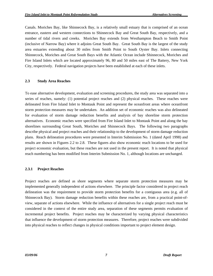<span id="page-20-0"></span>Canals. Moriches Bay, like Shinnecock Bay, is a relatively small estuary that is comprised of an ocean entrance, eastern and western connections to Shinnecock Bay and Great South Bay, respectively, and a number of tidal rivers and creeks. Moriches Bay extends from Westhampton Beach to Smith Point (inclusive of Narrow Bay) where it adjoins Great South Bay. Great South Bay is the largest of the study area estuaries extending about 30 miles from Smith Point to South Oyster Bay. Inlets connecting Shinnecock, Moriches and Great South Bays with the Atlantic Ocean include Shinnecock, Moriches and Fire Island Inlets which are located approximately 96, 80 and 50 miles east of The Battery, New York City, respectively. Federal navigation projects have been established at each of these inlets.

#### **2.3 Study Area Reaches**

To ease alternative development, evaluation and screening procedures, the study area was separated into a series of reaches, namely: (1) potential project reaches and (2) physical reaches. These reaches were delineated from Fire Island Inlet to Montauk Point and represent the oceanfront areas where oceanfront storm protection measures may be undertaken. An addition set of economic reaches was also delineated for evaluation of storm damage reduction benefits and analysis of bay shoreline storm protection alternatives. Economic reaches were specified from Fire Island Inlet to Montauk Point and along the bay shorelines surrounding Great South, Moriches and Shinnecock Bays. The following two paragraphs describe physical and project reaches and their relationship to the development of storm damage reduction plans. Reach delineation procedures were presented in Interim Submission No. 1 (dated April 1998) and results are shown in Figures 2.2 to 2.8. These figures also show economic reach locations to be used for project economic evaluation, but these reaches are not used in the present report. It is noted that physical reach numbering has been modified from Interim Submission No. 1, although locations are unchanged.

#### **2.3.1 Project Reaches**

Project reaches are defined as shore segments where separate storm protection measures may be implemented generally independent of actions elsewhere. The principle factor considered in project reach delineation was the requirement to provide storm protection benefits for a contiguous area (e.g. all of Shinnecock Bay). Storm damage reduction benefits within these reaches are, from a practical point-ofview, separate of actions elsewhere. While the influence of alternatives for a single project reach must be considered in the context of the entire study area, separation of these segments permits evaluation of incremental project benefits. Project reaches may be characterized by varying physical characteristics that influence the development of storm protection measures. Therefore, project reaches were subdivided into physical reaches to reflect changes in physical conditions important to project element design.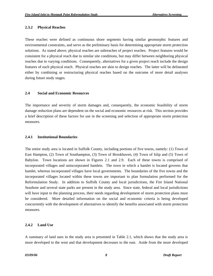#### <span id="page-21-0"></span>**2.3.2 Physical Reaches**

These reaches were defined as continuous shore segments having similar geomorphic features and environmental constraints, and serve as the preliminary basis for determining appropriate storm protection solutions. As stated above, physical reaches are subreaches of project reaches. Project features would be consistent for a physical reach due to similar site conditions, but may differ between neighboring physical reaches due to varying conditions. Consequently, alternatives for a given project reach include the design features of each physical reach. Physical reaches are akin to design reaches. The latter will be delineated either by combining or restructuring physical reaches based on the outcome of more detail analyses during future study stages.

#### **2.4 Social and Economic Resources**

The importance and severity of storm damages and, consequently, the economic feasibility of storm damage reduction plans are dependent on the social and economic resources at risk. This section provides a brief description of these factors for use in the screening and selection of appropriate storm protection measures.

#### **2.4.1 Institutional Boundaries**

The entire study area is located in Suffolk County, including portions of five towns, namely: (1) Town of East Hampton, (2) Town of Southampton, (3) Town of Brookhaven, (4) Town of Islip and (5) Town of Babylon. Town locations are shown in Figures 2.1 and 2.9. Each of these towns is comprised of incorporated villages and unincorporated hamlets. The town in which a hamlet is located governs that hamlet, whereas incorporated villages have local governments. The boundaries of the five towns and the incorporated villages located within these towns are important to plan formulation performed for the Reformulation Study. In addition to Suffolk County and local jurisdictions, the Fire Island National Seashore and several state parks are present in the study area. Since state, federal and local jurisdictions will have input to the planning process, their needs regarding development of storm protection plans must be considered. More detailed information on the social and economic criteria is being developed concurrently with the development of alternatives to identify the benefits associated with storm protection measures.

#### **2.4.2 Land Use**

A summary of land uses in the study area is presented in Table 2.1, which shows that the study area is more developed to the west and that development decreases to the east. Aside from the more developed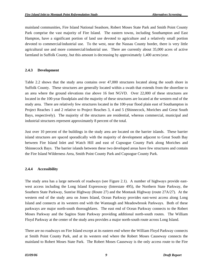<span id="page-22-0"></span>mainland communities, Fire Island National Seashore, Robert Moses State Park and Smith Point County Park comprise the vast majority of Fire Island. The eastern towns, including Southampton and East Hampton, have a significant portion of land use devoted to agriculture and a relatively small portion devoted to commercial/industrial use. To the west, near the Nassau County border, there is very little agricultural use and more commercial/industrial use. There are currently about 35,000 acres of active farmland in Suffolk County, but this amount is decreasing by approximately 1,400 acres/year.

#### **2.4.3 Development**

Table 2.2 shows that the study area contains over 47,000 structures located along the south shore in Suffolk County. These structures are generally located within a swath that extends from the shoreline to an area where the ground elevations rise above 16 feet NGVD. Over 22,000 of these structures are located in the 100-year floodplain and the majority of these structures are located at the western end of the study area. There are relatively few structures located in the 100-year flood plain east of Southampton in Project Reaches 1 and 2 relative to Project Reaches 3, 4 and 5 (Shinnecock, Moriches and Great South Bays, respectively). The majority of the structures are residential, whereas commercial, municipal and industrial structures represent approximately 8 percent of the total.

Just over 10 percent of the buildings in the study area are located on the barrier islands. These barrier island structures are spaced sporadically with the majority of development adjacent to Great South Bay between Fire Island Inlet and Watch Hill and east of Cupsogue County Park along Moriches and Shinnecock Bays. The barrier islands between these two developed areas have few structures and contain the Fire Island Wilderness Area, Smith Point County Park and Cupsogue County Park.

#### **2.4.4 Accessibility**

The study area has a large network of roadways (see Figure 2.1). A number of highways provide eastwest access including the Long Island Expressway (Interstate 495), the Northern State Parkway, the Southern State Parkway, Sunrise Highway (Route 27) and the Montauk Highway (route 27A/27). At the western end of the study area on Jones Island, Ocean Parkway provides east-west access along Long Island and connects at its western end with the Wantaugh and Meadowbrook Parkways. Both of these parkways are major north-south thoroughfares. The east end of Ocean Parkway connects to the Robert Moses Parkway and the Sagitos State Parkway providing additional north-south routes. The William Floyd Parkway at the center of the study area provides a major north-south route across Long Island.

There are no roadways on Fire Island except at its eastern end where the William Floyd Parkway connects at Smith Point County Park, and at its western end where the Robert Moses Causeway connects the mainland to Robert Moses State Park. The Robert Moses Causeway is the only access route to the Fire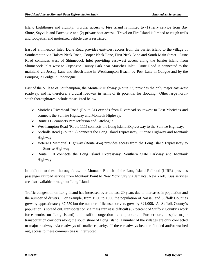Island Lighthouse and vicinity. Further access to Fire Island is limited to (1) ferry service from Bay Shore, Sayville and Patchogue and (2) private boat access. Travel on Fire Island is limited to rough trails and footpaths, and motorized vehicle use is restricted.

East of Shinnecock Inlet, Dune Road provides east-west access from the barrier island to the village of Southampton via Halsey Neck Road, Cooper Neck Lane, First Neck Lane and South Main Street. Dune Road continues west of Shinnecock Inlet providing east-west access along the barrier island from Shinnecock Inlet west to Cupsogue County Park near Moriches Inlet. Dune Road is connected to the mainland via Jessup Lane and Beach Lane in Westhampton Beach, by Post Lane in Quogue and by the Ponquogue Bridge in Ponquogue.

East of the Village of Southampton, the Montauk Highway (Route 27) provides the only major east-west roadway, and is, therefore, a crucial roadway in terms of its potential for flooding. Other large northsouth thoroughfares include those listed below.

- ¾ Moriches-Riverhead Road (Route 51) extends from Riverhead southwest to East Moriches and connects the Sunrise Highway and Montauk Highway.
- ¾ Route 112 connects Part Jefferson and Patchogue.
- ¾ Westhampton Road (Route 111) connects the Long Island Expressway to the Sunrise Highway.
- ¾ Nicholls Road (Route 97) connects the Long Island Expressway, Sunrise Highway and Montauk Highway.
- $\triangleright$  Veterans Memorial Highway (Route 454) provides access from the Long Island Expressway to the Sunrise Highway.
- $\triangleright$  Route 110 connects the Long Island Expressway, Southern State Parkway and Montauk Highway.

In addition to these thoroughfares, the Montauk Branch of the Long Island Railroad (LIRR) provides passenger railroad service from Montauk Point to New York City via Jamaica, New York. Bus services are also available throughout Long Island.

Traffic congestion on Long Island has increased over the last 20 years due to increases in population and the number of drivers. For example, from 1980 to 1990 the population of Nassau and Suffolk Counties grew by approximately 37,750 but the number of licensed drivers grew by 321,000. As Suffolk County's population is spread out, transportation via mass transit is difficult (87 percent of Suffolk County's work force works on Long Island) and traffic congestion is a problem. Furthermore, despite major transportation corridors along the south shore of Long Island, a number of the villages are only connected to major roadways via roadways of smaller capacity. If these roadways become flooded and/or washed out, access to these communities is interrupted.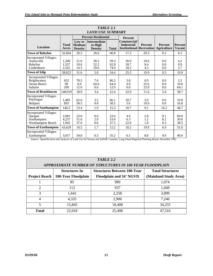| <b>TABLE 2.1</b>                                                                   |                         |                                           |                                                  |                      |                                                               |                     |                                      |                                 |  |
|------------------------------------------------------------------------------------|-------------------------|-------------------------------------------|--------------------------------------------------|----------------------|---------------------------------------------------------------|---------------------|--------------------------------------|---------------------------------|--|
| <b>LAND USE SUMMARY</b>                                                            |                         |                                           |                                                  |                      |                                                               |                     |                                      |                                 |  |
|                                                                                    |                         | <b>Percent Residential</b>                |                                                  |                      | <b>Percent</b>                                                |                     |                                      |                                 |  |
| <b>Location</b>                                                                    | <b>Total</b><br>Acres   | Low to<br><b>Medium</b><br><b>Density</b> | <b>Intermediate</b><br>to High<br><b>Density</b> | <b>Total</b>         | Commercial/<br>Industrial/<br><b>Institutional Recreation</b> | <b>Percent</b>      | <b>Percent</b><br><b>Agriculture</b> | <b>Percent</b><br><b>Vacant</b> |  |
| <b>Town of Babylon</b>                                                             | 32,664                  | 20.3                                      | 26.6                                             | 46.8                 | 17.2                                                          | 29.3                | 0.2                                  | 6.3                             |  |
| Incorporated Villages:<br>Amityville<br>Babylon<br>Lindenhurst                     | 1.340<br>1,557<br>2,322 | 21.0<br>10.6<br>14.3                      | 38.2<br>52.2<br>59.6                             | 59.3<br>62.8<br>74.0 | 26.0<br>18.7<br>18.2                                          | 10.6<br>8.4<br>4.3  | 0.0<br>0.0<br>0.0                    | 4.2<br>9.9<br>3.7               |  |
| <b>Town of Islip</b>                                                               | 58,823                  | 31.6                                      | 2.8                                              | 34.4                 | 25.5                                                          | 19.9                | 0.3                                  | 19.9                            |  |
| <b>Incorporated Villages:</b><br><b>Brightwaters</b><br>Ocean Beach<br>Saltaire    | 652<br>90<br>209        | 78.5<br>0.0<br>12.0                       | 7.6<br>64.4<br>0.0                               | 86.2<br>64.4<br>12.0 | 3.8<br>0.0<br>0.0                                             | 6.9<br>25.6<br>23.9 | 0.0<br>0.0<br>0.0                    | 3.2<br>10.0<br>64.1             |  |
| <b>Town of Brookhaven</b>                                                          | 148.919                 | 18.9                                      | 3.4                                              | 22.4                 | 22.0                                                          | 11.6                | 5.4                                  | 38.7                            |  |
| <b>Incorporated Villages:</b><br>Patchogue<br>Bellport                             | 1.485<br>893            | 62.6<br>58.5                              | 3.5<br>0.0                                       | 66.1<br>58.5         | 18.7<br>5.6                                                   | 5.0<br>19.0         | 0.0<br>0.0                           | 10.0<br>16.8                    |  |
| <b>Town of Southampton</b>                                                         | 140.2                   | 13.4                                      | 1.9                                              | 15.3                 | 10.7                                                          | 9.1                 | 16.2                                 | 48.7                            |  |
| <b>Incorporated Villages:</b><br>Quogue<br>Southampton<br><b>Westhampton Beach</b> | 2.681<br>4,237<br>1,942 | 23.6<br>51.6<br>37.0                      | 0.0<br>2.0<br>0.6                                | 23.6<br>53.6<br>37.5 | 4.4<br>6.3<br>22.0                                            | 2.8<br>1.2<br>1.8   | 0.1<br>8.2<br>0.3                    | 69.0<br>30.6<br>38.5            |  |
| <b>Town of Easthampton</b>                                                         | 43,629                  | 10.5                                      | 1.7                                              | 12.2                 | 10.2                                                          | 19.0                | 6.9                                  | 51.6                            |  |
| <b>Incorporated Villages:</b><br>Easthampton                                       | 3,017                   | 34.8                                      | 0.3                                              | 35.2                 | 6.1                                                           | 8.8                 | 9.9                                  | 40.0                            |  |

Source: Quantification and Analysis of Land Use for Nassau and Suffolk Counties, Long Island Regional Planning Board, December 1982

| TABLE 2.2<br><b>APPROXIMATE NUMBER OF STRUCTURES IN 100-YEAR FLOODPLAIN</b> |                                                                                       |                                |                       |  |  |  |  |
|-----------------------------------------------------------------------------|---------------------------------------------------------------------------------------|--------------------------------|-----------------------|--|--|--|--|
|                                                                             | <b>Total Structures</b><br><b>Structures Between 100-Year</b><br><b>Structures In</b> |                                |                       |  |  |  |  |
| <b>Project Reach</b>                                                        | 100-Year Floodplain                                                                   | <b>Floodplain and 16' NGVD</b> | (Mainland Study Area) |  |  |  |  |
|                                                                             | 85                                                                                    | 989                            | 1,074                 |  |  |  |  |
| $\mathcal{D}_{\mathcal{L}}$                                                 | 112                                                                                   | 937                            | 1,049                 |  |  |  |  |
| 3                                                                           | 1,641                                                                                 | 2,258                          | 3,899                 |  |  |  |  |
| 4                                                                           | 4,335                                                                                 | 2,906                          | 7,246                 |  |  |  |  |
| 5                                                                           | 15,845                                                                                | 18,408                         | 34,255                |  |  |  |  |
| <b>Total</b>                                                                | 22,018                                                                                | 25,498                         | 47,516                |  |  |  |  |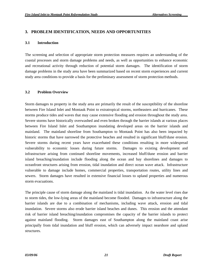## <span id="page-25-0"></span>**3. PROBLEM IDENTIFICATION, NEEDS AND OPPORTUNITIES**

#### **3.1 Introduction**

The screening and selection of appropriate storm protection measures requires an understanding of the coastal processes and storm damage problems and needs, as well as opportunities to enhance economic and recreational activity through reduction of potential storm damages. The identification of storm damage problems in the study area have been summarized based on recent storm experiences and current study area conditions to provide a basis for the preliminary assessment of storm protection methods.

#### **3.2 Problem Overview**

Storm damages to property in the study area are primarily the result of the susceptibility of the shoreline between Fire Island Inlet and Montauk Point to extratropical storms, northeasters and hurricanes. These storms produce tides and waves that may cause extensive flooding and erosion throughout the study area. Severe storms have historically overwashed and even broken through the barrier islands at various places between Fire Island Inlet and Southampton inundating developed areas on the barrier islands and mainland. The mainland shoreline from Southampton to Montauk Point has also been impacted by historic storms that have narrowed the protective beaches and resulted in significant bluff/dune erosion. Severe storms during recent years have exacerbated these conditions resulting in more widespread vulnerability to economic losses during future storms. Damages to existing development and infrastructure arising from continued shoreline movements, increased bluff/dune erosion and barrier island breaching/inundation include flooding along the ocean and bay shorelines and damages to oceanfront structures arising from erosion, tidal inundation and direct ocean wave attack. Infrastructure vulnerable to damage include homes, commercial properties, transportation routes, utility lines and sewers. Storm damages have resulted in extensive financial losses to upland properties and numerous storm evacuations.

The principle cause of storm damage along the mainland is tidal inundation. As the water level rises due to storm tides, the low-lying areas of the mainland become flooded. Damages to infrastructure along the barrier islands are due to a combination of mechanisms, including wave attack, erosion and tidal inundation. Severe storms also erode barrier island beaches and dunes. This erosion and the attendant risk of barrier island breaching/inundation compromises the capacity of the barrier islands to protect against mainland flooding. Storm damages east of Southampton along the mainland coast arise principally from tidal inundation and bluff erosion, which can adversely impact nearshore and upland structures.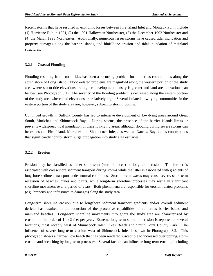<span id="page-26-0"></span>Recent storms that have resulted in economic losses between Fire Island Inlet and Montauk Point include (1) Hurricane Bob in 1991, (2) the 1991 Halloween Northeaster, (3) the December 1992 Northeaster and (4) the March 1993 Northeaster. Additionally, numerous lesser storms have caused tidal inundation and property damages along the barrier islands, and bluff/dune erosion and tidal inundation of mainland structures.

### **3.2.1 Coastal Flooding**

Flooding resulting from storm tides has been a recurring problem for numerous communities along the south shore of Long Island. Flood-related problems are magnified along the western portion of the study area where storm tide elevations are higher, development density is greater and land area elevations can be low (see Photograph 3.1). The severity of the flooding problem is decreased along the eastern portion of the study area where land elevations are relatively high. Several isolated, low-lying communities in the eastern portion of the study area are, however, subject to storm flooding.

Continued growth in Suffolk County has led to intensive development of low-lying areas around Great South, Moriches and Shinnecock Bays. During storms, the presence of the barrier islands limits or prevents widespread tidal inundation of these low-lying areas, although flooding during severe storms can be extensive. Fire Island, Moriches and Shinnecock Inlets, as well as Narrow Bay, act as constrictions that significantly control storm surge propagation into study area estuaries.

#### **3.2.2 Erosion**

Erosion may be classified as either short-term (storm-induced) or long-term erosion. The former is associated with cross-shore sediment transport during storms while the latter is associated with gradients of longshore sediment transport under normal conditions. Storm driven waves may cause severe, short-term recession of beaches, dunes and bluffs, while long-term shoreline processes may result in significant shoreline movement over a period of years. Both phenomena are responsible for erosion related problems (e.g., property and infrastructure damages) along the study area.

Long-term shoreline erosion due to longshore sediment transport gradients and/or overall sediment deficits has resulted in the reduction of the protective capabilities of numerous barrier island and mainland beaches. Long-term shoreline movements throughout the study area are characterized by erosion on the order of 1 to 2 feet per year. Extreme long-term shoreline erosion is reported at several locations, most notably west of Shinnecock Inlet, Pikes Beach and Smith Point County Park. The influence of severe long-term erosion west of Shinnecock Inlet is shown in Photograph 3.2. This photograph shows a narrow, low beach that has been rendered susceptible to increased overtopping, storm erosion and breaching by long-term processes. Several factors can influence long-term erosion, including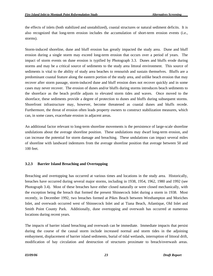<span id="page-27-0"></span>the effects of inlets (both stabilized and unstabilized), coastal structures or natural sediment deficits. It is also recognized that long-term erosion includes the accumulation of short-term erosion events (i.e., storms).

Storm-induced shoreline, dune and bluff erosion has greatly impacted the study area. Dune and bluff erosion during a single storm may exceed long-term erosion that occurs over a period of years. The impact of storm events on dune erosion is typified by Photograph 3.3. Dunes and bluffs erode during storms and may be a critical source of sediments to the study area littoral environment. This source of sediments is vital to the ability of study area beaches to renourish and sustain themselves. Bluffs are a predominant coastal feature along the eastern portion of the study area, and unlike beach erosion that may recover after storm passage, storm-induced dune and bluff erosion does not recover quickly and in some cases may never recover. The erosion of dunes and/or bluffs during storms introduces beach sediments to the shoreface as the beach profile adjusts to elevated storm tides and waves. Once moved to the shoreface, these sediments provide a degree of protection to dunes and bluffs during subsequent storms. Shorefront infrastructure may, however, become threatened as coastal dunes and bluffs recede. Furthermore, the threat of erosion often leads property owners to construct stabilization measures, which can, in some cases, exacerbate erosion in adjacent areas.

An additional factor relevant to long-term shoreline movements is the persistence of large-scale shoreline undulations about the average shoreline position. These undulations may dwarf long-term erosion, and can increase the potential for storm damage and breaching. These undulations can impact several miles of shoreline with landward indentures from the average shoreline position that average between 50 and 100 feet.

# **3.2.3 Barrier Island Breaching and Overtopping**

Breaching and overtopping has occurred at various times and locations in the study area. Historically, breaches have occurred during several major storms, including in 1938, 1954, 1962, 1980 and 1992 (see Photograph 3.4). Most of these breaches have either closed naturally or were closed mechanically, with the exception being the breach that formed the present Shinnecock Inlet during a storm in 1938. Most recently, in December 1992, two breaches formed at Pikes Beach between Westhampton and Moriches Inlet, and overwash occurred west of Shinnecock Inlet and at Tiana Beach, Atlantique, Old Inlet and Smith Point County Park. Additionally, dune overtopping and overwash has occurred at numerous locations during recent years.

The impacts of barrier island breaching and overwash can be immediate. Immediate impacts that persist during the course of the causal storm include increased normal and storm tides in the adjoining embayment, displacement of barrier island sediments, burial of tidal wetlands, interruption of littoral drift, modification of bay circulation and destruction of structures proximate to breach/overwash areas.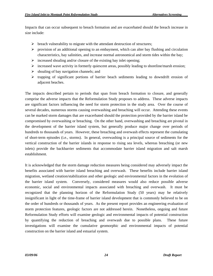Impacts that can occur subsequent to breach formation and are exacerbated should the breach increase in size include:

- $\triangleright$  breach vulnerability to migrate with the attendant destruction of structures;
- $\triangleright$  provision of an additional opening to an embayment, which can alter bay flushing and circulation characteristics, bay salinities, and increase normal astronomical and storm tides within the bay;
- $\triangleright$  increased shoaling and/or closure of the existing bay inlet opening;
- $\triangleright$  increased wave activity in formerly quiescent areas, possibly leading to shoreline/marsh erosion;
- $\triangleright$  shoaling of bay navigation channels; and
- $\triangleright$  trapping of significant portions of barrier beach sediments leading to downdrift erosion of adjacent beaches.

The impacts described pertain to periods that span from breach formation to closure, and generally comprise the adverse impacts that the Reformulation Study proposes to address. These adverse impacts are significant factors influencing the need for storm protection in the study area. Over the course of several decades, numerous storms causing overwashing and breaching will occur. Attending these events can be marked storm damages that are exacerbated should the protection provided by the barrier island be compromised by overwashing or breaching. On the other hand, overwashing and breaching are pivotal in the development of the barrier island system, but generally produce major change over periods of hundreds to thousands of years. However, these breaching and overwash effects represent the cumulating of short-term episodes (i.e., storms). In general, overwashing is a principal source of sediments for the vertical construction of the barrier islands in response to rising sea levels, whereas breaching (or new inlets) provide the backbarrier sediments that accommodate barrier island migration and salt marsh establishment.

It is acknowledged that the storm damage reduction measures being considered may adversely impact the benefits associated with barrier island breaching and overwash. These benefits include barrier island migration, wetland creation/stabilization and other geologic and environmental factors in the evolution of the barrier island system. Conversely, considered measures would also reduce possible adverse economic, social and environmental impacts associated with breaching and overwash. It must be recognized that the planning horizon of the Reformulation Study (50 years) may be relatively insignificant in light of the time-frame of barrier island development that is commonly believed to be on the order of hundreds or thousands of years. As the present report provides an engineering evaluation of storm protection features, geologic factors are not addressed herein. Nonetheless, ongoing and future Reformulation Study efforts will examine geologic and environmental impacts of potential construction by quantifying the reduction of breaching and overwash due to possible plans. These future investigations will examine the cumulative geomorphic and environmental impacts of potential construction on the barrier island and estuarial system.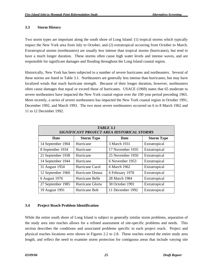## <span id="page-29-0"></span>**3.3 Storm History**

Two storm types are important along the south shore of Long Island: (1) tropical storms which typically impact the New York area from July to October, and (2) extratropical occurring from October to March. Extratropical storms (northeasters) are usually less intense than tropical storms (hurricanes), but tend to have a much longer duration. These storms often cause high water levels and intense waves, and are responsible for significant damages and flooding throughout the Long Island coastal region.

Historically, New York has been subjected to a number of severe hurricanes and northeasters. Several of these storms are listed in Table 3.1. Northeasters are generally less intense than hurricanes, but may have localized winds that reach hurricane strength. Because of their longer duration, however, northeasters often cause damages that equal or exceed those of hurricanes. USACE (1969) states that 65 moderate to severe northeasters have impacted the New York coastal region over the 100 year period preceding 1965. More recently, a series of severe northeasters has impacted the New York coastal region in October 1991, December 1992, and March 1993. The two most severe northeasters occurred on 6 to 8 March 1962 and 11 to 12 December 1992.

| <b>TABLE 3.1</b><br>SIGNIFICANT PROJECT AREA HISTORICAL STORMS |                   |                  |                   |  |  |  |  |
|----------------------------------------------------------------|-------------------|------------------|-------------------|--|--|--|--|
| Date                                                           | <b>Storm Type</b> | Date             | <b>Storm Type</b> |  |  |  |  |
| 14 September 1904                                              | Hurricane         | 3 March 1931     | Extratropical     |  |  |  |  |
| 8 September 1934                                               | Hurricane         | 17 November 1935 | Extratropical     |  |  |  |  |
| 21 September 1938                                              | Hurricane         | 25 November 1950 | Extratropical     |  |  |  |  |
| 14 September 1944                                              | Hurricane         | 6 November 1953  | Extratropical     |  |  |  |  |
| 31 August 1954                                                 | Hurricane Carol   | 6 March 1962     | Extratropical     |  |  |  |  |
| 12 September 1960                                              | Hurricane Donna   | 6 February 1978  | Extratropical     |  |  |  |  |
| 6 August 1976                                                  | Hurricane Belle   | 28 March 1984    | Extratropical     |  |  |  |  |
| 27 September 1985                                              | Hurricane Gloria  | 30 October 1991  | Extratropical     |  |  |  |  |
| 19 August 1991                                                 | Hurricane Bob     | 11 December 1992 | Extratropical     |  |  |  |  |

# **3.4 Project Reach Problem Identification**

While the entire south shore of Long Island is subject to generally similar storm problems, separation of the study area into reaches allows for a refined assessment of site-specific problems and needs. This section describes the conditions and associated problems specific to each project reach. Project and physical reaches locations were shown in Figures 2.2 to 2.8. These reaches extend the entire study area length, and reflect the need to examine storm protection for contiguous areas that include varying site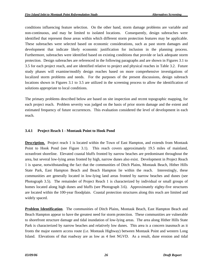<span id="page-30-0"></span>conditions influencing feature selection. On the other hand, storm damage problems are variable and non-continuous, and may be limited to isolated locations. Consequently, design subreaches were identified that represent those areas within which different storm protection features may be applicable. These subreaches were selected based on economic considerations, such as past storm damages and development that indicate likely economic justification for inclusion in the planning process. Furthermore, subreaches were identified based on existing conditions that provide or lack adequate storm protection. Design subreaches are referenced in the following paragraphs and are shown in Figures 3.1 to 3.5 for each project reach, and are identified relative to project and physical reaches in Table 3.2. Future study phases will examine/modify design reaches based on more comprehensive investigations of localized storm problems and needs. For the purposes of the present discussions, design subreach locations shown in Figures 3.1 to 3.5 are utilized in the screening process to allow the identification of solutions appropriate to local conditions.

The primary problems described below are based on site inspection and recent topographic mapping, for each project reach. Problem severity was judged on the basis of prior storm damage and the extent and estimated frequency of future occurrences. This evaluation considered the level of development in each reach.

#### **3.4.1 Project Reach 1 - Montauk Point to Hook Pond**

**Description.** Project reach 1 is located within the Town of East Hampton, and extends from Montauk Point to Hook Pond (see Figure 3.1). This reach covers approximately 19.5 miles of mainland, oceanfront shoreline. Elevated coastal bluffs fronted by narrow beaches are predominant throughout the area, but several low-lying areas fronted by high, narrow dunes also exist. Development in Project Reach 1 is sparse, notwithstanding the fact that the communities of Ditch Plains, Montauk Beach, Hither Hills State Park, East Hampton Beach and Beach Hampton lie within the reach. Interestingly, these communities are generally located in low-lying land areas fronted by narrow beaches and dunes (see Photograph 3.5). The remainder of Project Reach 1 is characterized by individual or small groups of homes located along high dunes and bluffs (see Photograph 3.6). Approximately eighty-five structures are located within the 100-year floodplain. Coastal protection structures along this reach are limited and widely spaced.

**Problem Identification**. The communities of Ditch Plains, Montauk Beach, East Hampton Beach and Beach Hampton appear to have the greatest need for storm protection. These communities are vulnerable to shorefront structure damage and tidal inundation of low-lying areas. The area along Hither Hills State Park is characterized by narrow beaches and relatively low dunes. This area is a concern inasmuch as it fronts the major eastern access route (i.e. Montauk Highway) between Montauk Point and western Long Island. Elevations of that roadway are as low as 4 feet NGVD. As a result, dune erosion and tidal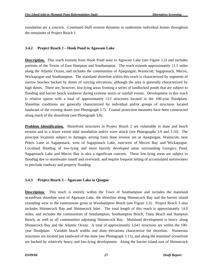<span id="page-31-0"></span>inundation are a concern. Continued bluff erosion threatens to undermine individual homes throughout the remainder of Project Reach 1.

## **3.4.2 Project Reach 2 – Hook Pond to Agawam Lake**

**Description.** This reach extends from Hook Pond west to Agawam Lake (see Figure 3.2) and includes portions of the Towns of East Hampton and Southampton. The reach extends approximately 11.5 miles along the Atlantic Ocean, and includes the communities of Apaquogue, Wainscott, Sagaponack, Mecox, Wickapogue and Southampton. The mainland shoreline within this reach is characterized by segments of narrow beaches backed by dunes of varying elevations, although the area is generally characterized by high dunes. There are, however, low-lying areas fronting a series of landlocked ponds that are subject to flooding and barrier beach washover during extreme storm or rainfall events. Development in this reach is relative sparse with a total of approximately 112 structures located in the 100-year floodplain. Shoreline conditions are generally characterized by individual and/or groups of structures located landward of the existing dunes (see Photograph 3.7). Coastal protection measures have been constructed along much of the shorefront (see Photograph 3.8).

**Problem Identification.** Shorefront structures in Project Reach 2 are vulnerable to dune and beach erosion and to a lesser extent tidal inundation and/or wave attack (see Photographs 3.9 and 3.10). The principal locations subject to damages arising from dune erosion are at Apaquogue, Wainscott, near Peters Lane in Sagaponack, west of Sagaponack Lake, east/west of Mecox Bay and Wickapogue. Localized flooding of low-lying and more heavily developed areas surrounding Georgica Pond, Sagaponack Lake and Mecox Bay is also a significant concern. These low-lying areas are subject to flooding due to stormwater runoff and overwash, and require frequent letting of accumulated stormwaters to preclude roadway and property flooding.

# **3.4.3 Project Reach 3 – Agawam Lake to Quogue**

**Description.** This reach is entirely within the Town of Southampton and includes the mainland oceanfront shoreline west of Agawam Lake, the shoreline along Shinnecock Bay and the barrier island extending west to the easternmost groin at Westhampton Beach (see Figure 3.3). Project Reach 3 also includes Shinnecock Bay and Shinnecock Inlet. The total length of this reach is approximately 14.0 miles, and includes the communities of Southampton, Southampton Beach, Tiana Beach and Hampton Beach, as well as all communities adjoining Shinnecock Bay. Mainland development is heavy along Shinnecock Bay and the Atlantic Ocean. A total of approximately 1,641 structures are within the 100 year floodplain. Variable beach widths and dune elevations characterize the shoreline. Numerous structures are located just landward of the dune (see Photograph 3.11), and along the mainland oceanfront are backed by relatively heavy and low-lying development. Along the barrier island east of Shinnecock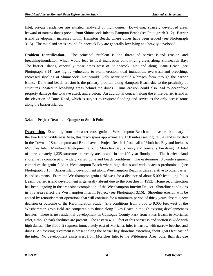<span id="page-32-0"></span>Inlet, private residences are situated landward of high dunes. Low-lying, sparsely developed areas leeward of narrow dunes prevail from Shinnecock Inlet to Hampton Beach (see Photograph 3.12). Barrier island development increases within Hampton Beach, where dunes have been eroded (see Photograph 3.13). The mainland areas around Shinnecock Bay are generally low-lying and heavily developed.

**Problem Identification.** The principal problem is the threat of barrier island erosion and breaching/inundation, which would lead to tidal inundation of low-lying areas along Shinnecock Bay. The barrier islands, especially those areas west of Shinnecock Inlet and along Tiana Beach (see Photograph 3.14), are highly vulnerable to storm erosion, tidal inundation, overwash and breaching. Increased shoaling of Shinnecock Inlet would likely occur should a breach form through the barrier island. Dune and beach erosion is the primary problem along Hampton Beach due to the proximity of structures located in low-lying areas behind the dunes. Dune erosion could also lead to oceanfront property damage due to wave attack and erosion. An additional concern along the entire barrier island is the elevation of Dune Road, which is subject to frequent flooding and serves as the only access route along the barrier islands.

## **3.4.4 Project Reach 4 – Quogue to Smith Point**

**Description.** Extending from the easternmost groin in Westhampton Beach to the eastern boundary of the Fire Island Wilderness Area, this reach spans approximately 13.0 miles (see Figure 3.4) and is located in the Towns of Southampton and Brookhaven. Project Reach 4 fronts all of Moriches Bay and includes Moriches Inlet. Mainland development around Moriches Bay is heavy and generally low-lying. A total of approximately 4,335 structures currently are located in the 100-year floodplain. The barrier island shoreline is comprised of widely varied dune and beach conditions. The easternmost 3.5-mile segment comprises the groin field at Westhampton Beach where high dunes and wide beaches predominate (see Photograph 3.15). Barrier island development along Westhampton Beach is dense relative to other barrier island segments. From the Westhampton groin field west for a distance of about 5,000 feet along Pikes Beach, barrier island development is generally absent due to the breaches in 1992. Home reconstruction has been ongoing in the area since completion of the Westhampton Interim Project. Shoreline conditions in this area reflect the Westhampton Interim Project (see Photograph 3.16). Shoreline erosion will be abated by renourishment operations that will continue for a minimum period of thirty years absent a new decision or outcome of the Reformulation Study. Site conditions from 5,000 to 9,000 feet west of the Westhampton groin field are comparable to those along Pikes Beach, although existing development is heavier. There is no residential development in Cupsogue County Park from Pikes Beach to Moriches Inlet, although park facilities are present. The eastern 4,000 feet of this barrier island section is wide with high dunes. The 3,000-ft segment immediately east of Moriches Inlet is narrow with narrow beaches and dunes. An existing revetment is present along the barrier bay shoreline extending about 1,500 feet east of the inlet. No development exists west from Moriches Inlet to the Wilderness Area, other than day-use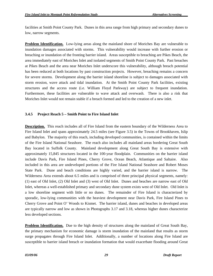<span id="page-33-0"></span>facilities at Smith Point County Park. Dunes in this area range from high primary and secondary dunes to low, narrow segments.

**Problem Identification.** Low-lying areas along the mainland shore of Moriches Bay are vulnerable to inundation damages associated with storms. This vulnerability would increase with further erosion or breaching or inundation of the fronting barrier island. Areas susceptible to breaching are Pikes Beach, the area immediately east of Moriches Inlet and isolated segments of Smith Point County Park. Past breaches at Pikes Beach and the area near Moriches Inlet underscore this vulnerability, although breach potential has been reduced at both locations by past construction projects. However, breaching remains a concern for severe storms. Development along the barrier island shoreline is subject to damages associated with storm erosion, wave attack and tidal inundation. At the Smith Point County Park facilities, existing structures and the access route (i.e. William Floyd Parkway) are subject to frequent inundation. Furthermore, these facilities are vulnerable to wave attack and overwash. There is also a risk that Moriches Inlet would not remain stable if a breach formed and led to the creation of a new inlet.

#### **3.4.5 Project Reach 5 – Smith Point to Fire Island Inlet**

**Description.** This reach includes all of Fire Island from the eastern boundary of the Wilderness Area to Fire Island Inlet and spans approximately 24.5 miles (see Figure 3.5) in the Towns of Brookhaven, Islip and Babylon. The majority of this reach, including developed communities, is contained within the limits of the Fire Island National Seashore. The reach also includes all mainland areas bordering Great South Bay located in Suffolk County. Mainland development along Great South Bay is extensive with approximately 15,845 structures located in the 100-year floodplain. Communities on the barrier island include Davis Park, Fire Island Pines, Cherry Grove, Ocean Beach, Atlantique and Saltaire. Also included in this area are undeveloped portions of the Fire Island National Seashore and Robert Moses State Park. Dune and beach conditions are highly varied, and the barrier island is narrow. The Wilderness Area extends about 6.5 miles and is comprised of three principal physical segments, namely: (1) east of Old Inlet, (2) Old Inlet and (3) west of Old Inlet. Dunes and beaches are narrow east of Old Inlet, whereas a well-established primary and secondary dune system exists west of Old Inlet. Old Inlet is a low shoreline segment with little or no dunes. The remainder of Fire Island is characterized by sporadic, low-lying communities with the heaviest development near Davis Park, Fire Island Pines to Cherry Grove and Point O' Woods to Kismet. The barrier island, dunes and beaches in developed areas are typically narrow and low as shown in Photographs 3.17 and 3.18, whereas higher dunes characterize less developed sections.

**Problem Identification.** Due to the high density of structures along the mainland of Great South Bay, the primary mechanism for economic damage is storm inundation of the mainland that results as storm surge propagates through Fire Island Inlet. Additionally, a number of locations along Fire Island are susceptible to barrier island breach or inundation formation that would exacerbate flooding around Great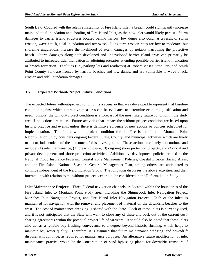<span id="page-34-0"></span>South Bay. Coupled with the relative instability of Fire Island Inlet, a breach could significantly increase mainland tidal inundation and shoaling of Fire Island Inlet, as the new inlet would likely persist. Storm damages to barrier island structures located behind narrow, low dunes also occur as a result of storm erosion, wave attack, tidal inundation and overwash. Long-term erosion rates are low to moderate, but shoreline undulations increase the likelihood of storm damages by notably narrowing the protective beach. Storm damages along both developed and undeveloped barrier island areas can primarily be attributed to increased tidal inundation in adjoining estuaries attending possible barrier island inundation or breach formation. Facilities (i.e., parking lots and roadways) at Robert Moses State Park and Smith Point County Park are fronted by narrow beaches and low dunes, and are vulnerable to wave attack, erosion and tidal inundation damages.

#### **3.5 Expected Without-Project Future Conditions**

The expected future without-project condition is a scenario that was developed to represent that baseline condition against which alternative measures can be evaluated to determine economic justification and need. Simply, the without-project condition is a forecast of the most likely future condition in the study area if no actions are taken. Future activities that impact the without-project condition are based upon historic practice and events, unless there is definitive evidence of new actions or policies scheduled for implementation. The future without-project condition for the Fire Island Inlet to Montauk Point Reformulation Study considers ongoing Federal, State, County, and municipal activities which are likely to occur independent of the outcome of this investigation. These actions are likely to continue and include: (1) inlet maintenance, (2) breach closure, (3) ongoing shore protection projects, and (4) local and private development and shore protection activities. Additionally, development policies related to the National Flood Insurance Program; Coastal Zone Management Policies; Coastal Erosion Hazard Areas; and the Fire Island National Seashore General Management Plan, among others, are anticipated to continue independent of the Reformulation Study. The following discusses the above activities, and their interaction with relation to the without-project scenario to be considered in the Reformulation Study.

**Inlet Maintenance Projects.** Three Federal navigation channels are located within the boundaries of the Fire Island Inlet to Montauk Point study area, including the Shinnecock Inlet Navigation Project, Moriches Inlet Navigation Project, and Fire Island Inlet Navigation Project. Each of the inlets is maintained for navigation with the removal and placement of material on the downdrift beaches to the west. The cost of maintenance dredging is shared with the State. Each of these inlets is currently used, and it is not anticipated that the State will want to close any of these and back out of the current costsharing agreements within the potential project life of 50 years. It should also be noted that these inlets also act as a reliable bay flushing conveyance to a degree beyond historic flushing, which helps to maintain bay water quality. Therefore, it is assumed that future maintenance dredging, and downdrift disposal will continue, as required for maintenance purposes. An alternative future modification of inlet maintenance practice would be the construction of sand bypassing plants for downdrift transport of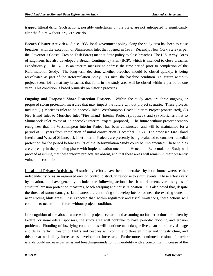trapped littoral drift. Such actions, possibly undertaken by the State, are not anticipated to significantly alter the future without-project scenario.

**Breach Closure Activities.** Since 1938, local government policy along the study area has been to close breaches (with the exception of Shinnecock Inlet that opened in 1938. Recently, New York State (as per the Governor's Coastal Erosion Task Force) made it State policy to close breaches. The U.S. Army Corps of Engineers has also developed a Breach Contingency Plan (BCP), which is intended to close breaches expeditiously. The BCP is an interim measure to address the time period prior to completion of the Reformulation Study. The long-term decision, whether breaches should be closed quickly, is being reevaluated as part of the Reformulation Study. As such, the baseline condition (i.e. future withoutproject scenario) is that any breaches that form in the study area will be closed within a period of one year. This condition is based primarily on historic practices.

**Ongoing and Proposed Shore Protection Projects.** Within the study area are three ongoing or proposed storm protection measures that may impact the future without project scenario. These projects include: (1) Moriches Inlet to Shinnecock Inlet "Westhampton Beach" Interim Project (constructed), (2) Fire Island Inlet to Moriches Inlet "Fire Island" Interim Project (proposed), and (3) Moriches Inlet to Shinnecock Inlet "West of Shinnecock" Interim Project (proposed). The future without project scenario recognizes that the Westhampton Interim Project has been constructed, and will be maintained for a period of 30 years from completion of initial construction (December 1997). The proposed Fire Island Interim and West of Shinnecock Inlet Interim Projects are presently being evaluated to consider remedial protection for the period before results of the Reformulation Study could be implemented. These studies are currently in the planning phase with implementation uncertain. Hence, the Reformulation Study will proceed assuming that these interim projects are absent, and that these areas will remain in their presently vulnerable condition.

**Local and Private Activities.** Historically, efforts have been undertaken by local homeowners, either independently or as an organized erosion control district, in response to storm events. These efforts vary by location, but have generally included the following actions: beach nourishment, various types of structural erosion protection measures, beach scraping and house relocation. It is also noted that, despite the threat of storm damages, landowners are continuing to develop lots on or near the existing dunes or near eroding bluff areas. It is expected that, within regulatory and fiscal limitations, these actions will continue to occur in the future without project condition.

In recognition of the above future without-project scenario and assuming no further actions are taken by Federal or non-Federal sponsors, the study area will continue to have periodic flooding and erosion problems. Flooding of low-lying communities will continue to endanger lives, cause property damage and delay traffic. Erosion of bluffs and beaches will continue to threaten hinterland infrastructure, and this threat will likely increase as development increases. Furthermore, continued erosion of barrier islands could increase barrier island breaching/inundation vulnerability with a concomitant increase of the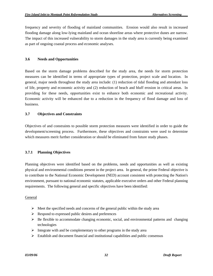frequency and severity of flooding of mainland communities. Erosion would also result in increased flooding damage along low-lying mainland and ocean shoreline areas where protective dunes are narrow. The impact of this increased vulnerability to storm damages in the study area is currently being examined as part of ongoing coastal process and economic analyses.

## **3.6 Needs and Opportunities**

Based on the storm damage problems described for the study area, the needs for storm protection measures can be identified in terms of appropriate types of protection, project scale and location. In general, major needs throughout the study area include: (1) reduction of tidal flooding and attendant loss of life, property and economic activity and (2) reduction of beach and bluff erosion in critical areas. In providing for these needs, opportunities exist to enhance both economic and recreational activity. Economic activity will be enhanced due to a reduction in the frequency of flood damage and loss of business.

# **3.7 Objectives and Constraints**

Objectives of and constraints to possible storm protection measures were identified in order to guide the development/screening process. Furthermore, these objectives and constraints were used to determine which measures merit further consideration or should be eliminated from future study phases.

# **3.7.1 Planning Objectives**

Planning objectives were identified based on the problems, needs and opportunities as well as existing physical and environmental conditions present in the project area. In general, the prime Federal objective is to contribute to the National Economic Development (NED) account consistent with protecting the Nation's environment, pursuant to national economic statutes, applicable executive orders and other Federal planning requirements. The following general and specific objectives have been identified:

### **General**

- $\triangleright$  Meet the specified needs and concerns of the general public within the study area
- $\triangleright$  Respond to expressed public desires and preferences
- $\triangleright$  Be flexible to accommodate changing economic, social, and environmental patterns and changing technologies
- $\triangleright$  Integrate with and be complementary to other programs in the study area
- $\triangleright$  Establish and document financial and institutional capabilities and public consensus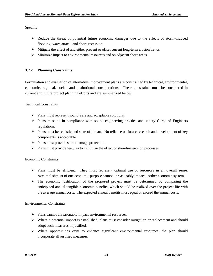### Specific

- $\triangleright$  Reduce the threat of potential future economic damages due to the effects of storm-induced flooding, wave attack, and shore recession
- $\triangleright$  Mitigate the effect of and either prevent or offset current long-term erosion trends
- $\triangleright$  Minimize impact to environmental resources and on adjacent shore areas

# **3.7.2 Planning Constraints**

Formulation and evaluation of alternative improvement plans are constrained by technical, environmental, economic, regional, social, and institutional considerations. These constraints must be considered in current and future project planning efforts and are summarized below.

# Technical Constraints

- ¾ Plans must represent sound, safe and acceptable solutions.
- ¾ Plans must be in compliance with sound engineering practice and satisfy Corps of Engineers regulations.
- $\triangleright$  Plans must be realistic and state-of-the-art. No reliance on future research and development of key components is acceptable.
- $\triangleright$  Plans must provide storm damage protection.
- ¾ Plans must provide features to minimize the effect of shoreline erosion processes.

# Economic Constraints

- ¾ Plans must be efficient. They must represent optimal use of resources in an overall sense. Accomplishment of one economic purpose cannot unreasonably impact another economic system.
- $\triangleright$  The economic justification of the proposed project must be determined by comparing the anticipated annual tangible economic benefits, which should be realized over the project life with the average annual costs. The expected annual benefits must equal or exceed the annual costs.

# Environmental Constraints

- ¾ Plans cannot unreasonably impact environmental resources.
- $\triangleright$  Where a potential impact is established, plans must consider mitigation or replacement and should adopt such measures, if justified.
- $\triangleright$  Where opportunities exist to enhance significant environmental resources, the plan should incorporate all justified measures.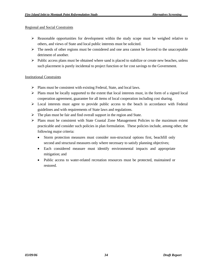### Regional and Social Constraints

- $\triangleright$  Reasonable opportunities for development within the study scope must be weighed relative to others, and views of State and local public interests must be solicited.
- $\triangleright$  The needs of other regions must be considered and one area cannot be favored to the unacceptable detriment of another.
- $\triangleright$  Public access plans must be obtained where sand is placed to stabilize or create new beaches, unless such placement is purely incidental to project function or for cost savings to the Government.

### Institutional Constraints

- ¾ Plans must be consistent with existing Federal, State, and local laws.
- $\triangleright$  Plans must be locally supported to the extent that local interests must, in the form of a signed local cooperation agreement, guarantee for all items of local cooperation including cost sharing.
- $\triangleright$  Local interests must agree to provide public access to the beach in accordance with Federal guidelines and with requirements of State laws and regulations.
- $\triangleright$  The plan must be fair and find overall support in the region and State.
- ¾ Plans must be consistent with State Coastal Zone Management Policies to the maximum extent practicable and consider such policies in plan formulation. These policies include, among other, the following major criteria:
	- Storm protection measures must consider non-structural options first, beachfill only second and structural measures only where necessary to satisfy planning objectives;
	- Each considered measure must identify environmental impacts and appropriate mitigation; and
	- Public access to water-related recreation resources must be protected, maintained or restored.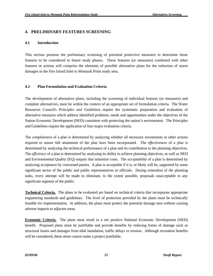# **4. PRELIMINARY FEATURES SCREENING**

## **4.1 Introduction**

This section presents the preliminary screening of potential protective measures to determine those features to be considered in future study phases. These features (or measures) combined with other features or actions will comprise the elements of possible alternative plans for the reduction of storm damages in the Fire Island Inlet to Montauk Point study area.

# **4.2 Plan Formulation and Evaluation Criteria**

The development of alternative plans, including the screening of individual features (or measures) and complete alternatives, must be within the context of an appropriate set of formulation criteria. The Water Resources Council's *Principles and Guidelines* require the systematic preparation and evaluation of alternative measures which address identified problems, needs and opportunities under the objectives of the Nation Economic Development (NED) consistent with protecting the nation's environment. The Principles and Guidelines require the application of four major evaluation criteria.

The *completeness* of a plan is determined by analyzing whether all necessary investments or other actions required to assure full attainment of the plan have been incorporated. The *effectiveness* of a plan is determined by analyzing the technical performance of a plan and its contribution to the planning objectives. The *efficiency* of a plan is determined by analyzing its ability to achieve planning objectives, as well as NED and Environmental Quality (EQ) outputs that minimize costs. The *acceptability* of a plan is determined by analyzing acceptance by concerned parties. A plan is acceptable if it is, or likely will be, supported by some significant sector of the public and public representatives or officials. During reiteration of the planning tasks, every attempt will be made to eliminate, to the extent possible, proposals unacceptable to any significant segment of the public.

**Technical Criteria.** The plans to be evaluated are based on technical criteria that incorporate appropriate engineering standards and guidelines. The level of protection provided by the plans must be technically feasible for implementation. In addition, the plans must protect the potential damage area without causing adverse impacts to adjacent areas.

**Economic Criteria.** The plans must result in a net positive National Economic Development (NED) benefit. Proposed plans must be justifiable and provide benefits by reducing forms of damage such as structural losses and damages from tidal inundation, traffic delays or erosion. Although recreation benefits will be considered, these alone cannot make a project justifiable.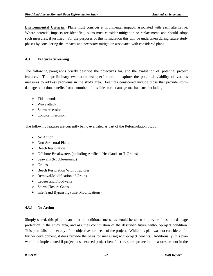**Environmental Criteria.** Plans must consider environmental impacts associated with each alternative. Where potential impacts are identified, plans must consider mitigation or replacement, and should adopt such measures, if justified. For the purposes of this formulation this will be undertaken during future study phases by considering the impacts and necessary mitigation associated with considered plans.

# **4.3 Features Screening**

The following paragraphs briefly describe the objectives for, and the evaluation of, potential project features. This preliminary evaluation was performed to explore the potential viability of various measures to address problems in the study area. Features considered include those that provide storm damage reduction benefits from a number of possible storm damage mechanisms, including:

- $\triangleright$  Tidal inundation
- $\triangleright$  Wave attack
- $\triangleright$  Storm recession
- $\triangleright$  Long-term erosion

The following features are currently being evaluated as part of the Reformulation Study:

- $\triangleright$  No Action
- $\triangleright$  Non-Structural Plans
- ¾ Beach Restoration
- ¾ Offshore Breakwaters (including Artificial Headlands or T-Groins)
- $\triangleright$  Seawalls (Rubble-mound)
- $\triangleright$  Groins
- $\triangleright$  Beach Restoration With Structures
- $\triangleright$  Removal/Modification of Groins
- $\triangleright$  Levees and Floodwalls
- $\triangleright$  Storm Closure Gates
- $\triangleright$  Inlet Sand Bypassing (Inlet Modifications)

# **4.3.1 No Action**

Simply stated, this plan, means that no additional measures would be taken to provide for storm damage protection in the study area, and assumes continuation of the described future without-project condition. This plan fails to meet any of the objectives or needs of the project. While this plan was not considered for further development, it does provide the basis for measuring with-project benefits. Additionally, this plan would be implemented if project costs exceed project benefits (i.e. shore protection measures are not in the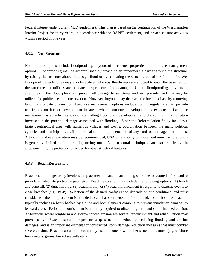Federal interest under current NED guidelines). This plan is based on the continuation of the Westhampton Interim Project for thirty years, in accordance with the RAPFT settlement, and breach closure activities within a period of one year.

## **4.3.2 Non-Structural**

Non-structural plans include floodproofing, buyouts of threatened properties and land use management options. Floodproofing may be accomplished by providing an impermeable barrier around the structure, by raising the structure above the design flood or by relocating the structure out of the flood plain. Wet floodproofing techniques may also be utilized whereby floodwaters are allowed to enter the basement of the structure but utilities are relocated or protected from damage. Unlike floodproofing, buyouts of structures in the flood plain will prevent all damage to structures and will provide land that may be utilized for public use and conservation. However, buyouts may decrease the local tax base by removing land from private ownership. Land use management options include zoning regulations that provide restrictions on further development in areas where continued development is expected. Land use management is an effective way of controlling flood plain development and thereby minimizing future increases in the potential damage associated with flooding. Since the Reformulation Study includes a large geographical area with numerous villages and towns, coordination between the many political agencies and municipalities will be crucial to the implementation of any land use management options. Although land use regulation may be recommended, USACE authority to implement non-structural plans is generally limited to floodproofing or buy-outs. Non-structural techniques can also be effective in supplementing the protection provided by other structural features.

### **4.3.3 Beach Restoration**

Beach restoration generally involves the placement of sand on an eroding shoreline to restore its form and to provide an adequate protective geometry. Beach restoration may include the following options: (1) beach and dune fill, (2) dune fill only, (3) beachfill only or (4) beachfill placement is response to extreme events to close breaches (e.g., BCP). Selection of the desired configuration depends on site conditions, and must consider whether fill placement is intended to combat shore erosion, flood inundation or both. A beachfill typically includes a berm backed by a dune and both elements combine to prevent inundation damages to leeward areas. Periodic renourishment is normally required to offset long-term and storm-induced erosion. At locations where long-term and storm-induced erosion are severe, renourishment and rehabilitation may prove costly. Beach restoration represents a quasi-natural method for reducing flooding and erosion damages, and is an important element for constructed storm damage reduction measures that must combat severe erosion. Beach restoration is commonly used in concert with other structural features (e.g. offshore breakwaters, groins, buried seawalls etc.).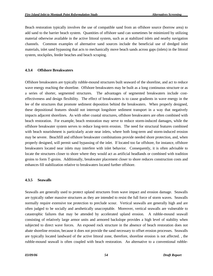Beach restoration typically involves the use of compatible sand from an offshore source (borrow area) to add sand to the barrier beach system. Quantities of offshore sand can sometimes be minimized by utilizing material otherwise available in the active littoral system, such as at stabilized inlets and nearby navigation channels. Common examples of alternative sand sources include the beneficial use of dredged inlet materials, inlet sand bypassing that acts to mechanically move beach sands across gaps (inlets) in the littoral system, stockpiles, feeder beaches and beach scraping.

### **4.3.4 Offshore Breakwaters**

Offshore breakwaters are typically rubble-mound structures built seaward of the shoreline, and act to reduce wave energy reaching the shoreline. Offshore breakwaters may be built as a long continuous structure or as a series of shorter, segmented structures. The advantages of segmented breakwaters include costeffectiveness and design flexibility. The effect of breakwaters is to cause gradients in wave energy in the lee of the structures that promote sediment deposition behind the breakwaters. When properly designed, these depositional features should not interrupt longshore sediment transport in a way that negatively impacts adjacent shorelines. As with other coastal structures, offshore breakwaters are often combined with beach restoration. For example, beach restoration may serve to reduce storm-induced damages, while the offshore breakwater system serves to reduce long-term erosion. The need for structural features combined with beach nourishment is particularly acute near inlets, where both long-term and storm-induced erosion may be severe. Beachfill and offshore breakwater combinations provide needed shore protection, and, when properly designed, will permit sand bypassing of the inlet. If located too far offshore, for instance, offshore breakwaters located near inlets may interfere with inlet behavior. Consequently, it is often advisable to locate the structures closer to shore where they would act as artificial headlands or combined with tradition groins to form T-groins. Additionally, breakwater placement closer to shore reduces construction costs and enhances fill stabilization relative to breakwaters located further offshore.

### **4.3.5 Seawalls**

Seawalls are generally used to protect upland structures from wave impact and erosion damage. Seawalls are typically rather massive structures as they are intended to resist the full force of storm waves. Seawalls normally require extensive toe protection to preclude scour. Vertical seawalls are generally high and are often judged to be socially and aesthetically unacceptable. Moreover, vertical seawalls are vulnerable to catastrophic failures that may be attended by accelerated upland erosion. A rubble-mound seawall consisting of relatively large armor units and armored backslope provides a high level of stability when subjected to direct wave forces. An exposed rock structure in the absence of beach restoration does not abate shoreline erosion, because it does not provide the sand necessary to offset erosion processes. Seawalls are typically located landward of the active littoral zone, therefore, shoreline erosion is not affected. , the rubble-mound seawall is often coupled with beach restoration. An alternative to a conventional rubble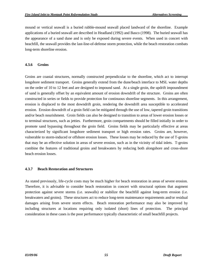mound or vertical seawall is a buried rubble-mound seawall placed landward of the shoreline. Example applications of a buried seawall are described in Headland (1992) and Basco (1998). The buried seawall has the appearance of a sand dune and is only be exposed during severe events. When used in concert with beachfill, the seawall provides the last-line-of-defense storm protection, while the beach restoration combats long-term shoreline erosion.

## **4.3.6 Groins**

Groins are coastal structures, normally constructed perpendicular to the shoreline, which act to interrupt longshore sediment transport. Groins generally extend from the dune/beach interface to MSL water depths on the order of 10 to 12 feet and are designed to impound sand. At a single groin, the updrift impoundment of sand is generally offset by an equivalent amount of erosion downdrift of the structure. Groins are often constructed in series or fields to provide protection for continuous shoreline segments. In this arrangement, erosion is displaced to the most downdrift groin, rendering the downdrift area susceptible to accelerated erosion. Erosion downdrift of a groin field can be mitigated through the use of low, tapered groin transitions and/or beach nourishment. Groin fields can also be designed to transition to areas of lower erosion losses or to terminal structures, such as jetties. Furthermore, groin compartments should be filled initially in order to promote sand bypassing throughout the groin field. Groins fields may be particularly effective at areas characterized by significant longshore sediment transport or high erosion rates. Groins are, however, vulnerable to storm-induced or offshore erosion losses. These losses may be reduced by the use of T-groins that may be an effective solution in areas of severe erosion, such as in the vicinity of tidal inlets. T-groins combine the features of traditional groins and breakwaters by reducing both alongshore and cross-shore beach erosion losses.

# **4.3.7 Beach Restoration and Structures**

As stated previously, life-cycle costs may be much higher for beach restoration in areas of severe erosion. Therefore, it is advisable to consider beach restoration in concert with structural options that augment protection against severe storms (i.e. seawalls) or stabilize the beachfill against long-term erosion (i.e. breakwaters and groins). These structures act to reduce long-term maintenance requirements and/or residual damages arising from severe storm effects. Beach restoration performance may also be improved by including structures at locations requiring only isolated (short) lines of protection. The principal consideration in these cases is the poor performance typically characteristic of small beachfill projects.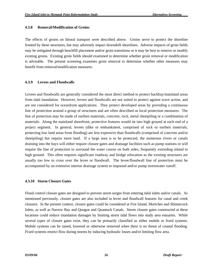### **4.3.8 Removal/Modification of Groins**

The effects of groins on littoral transport were described above. Groins serve to protect the shoreline fronted by these structures, but may adversely impact downdrift shorelines. Adverse impacts of groin fields may be mitigated through beachfill placement and/or groin transitions or it may be best to remove or modify existing groins. Existing groin fields should examined to determine whether groin removal or modification is advisable. The present screening examines groin removal to determine whether other measures may benefit from removal/modification measures.

#### **4.3.9 Levees and Floodwalls**

Levees and floodwalls are generally considered the most direct method to protect backbay/mainland areas from tidal inundation. However, levees and floodwalls are not suited to protect against wave action, and are not considered for oceanfront applications. They protect developed areas by providing a continuous line of protection around a group of structures and are often described as local protection measures. The line of protection may be made of earthen materials, concrete, rock, metal sheetpiling or a combination of materials. Along the mainland shorefront, protective features would tie into high ground at each end of a project segment. In general, levees (dike or embankment, comprised of rock or earthen materials, protecting low land areas from flooding) are less expensive than floodwalls (comprised of concrete and/or sheetpiling) but require more land. If a large area is to be protected, the numerous rivers or canals draining into the bays will either require closure gates and drainage facilities such as pump stations or will require the line of protection to surround the water course on both sides, frequently extending inland to high ground. This often requires significant roadway and bridge relocation as the existing structures are usually too low to cross over the levee or floodwall. The levee/floodwall line of protection must be accompanied by an extensive interior drainage system to impound and/or pump stormwater runoff.

### **4.3.10 Storm Closure Gates**

Flood control closure gates are designed to prevent storm surges from entering tidal inlets and/or canals. As mentioned previously, closure gates are also included in levee and floodwall features for canal and creek closures. In the present context, closure gates could be considered at Fire Island, Moriches and Shinnecock Inlets, as well as Narrow Bay and Quogue and Quantuck Canals. Storm closure gates constructed at these locations could reduce inundation damages by limiting storm tidal flows into study area estuaries. While several types of closure gates exist, they can be primarily classified as either mobile or fixed systems. Mobile systems can be raised, lowered or otherwise removed when there is no threat of coastal flooding. Fixed systems restrict flow during storms by inducing hydraulic losses and/or limiting flow area.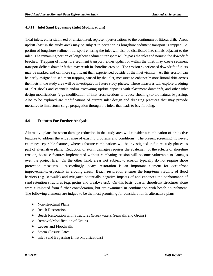### **4.3.11 Inlet Sand Bypassing (Inlet Modifications)**

Tidal inlets, either stabilized or unstabilized, represent perturbations to the continuum of littoral drift. Areas updrift (east in the study area) may be subject to accretion as longshore sediment transport is trapped. A portion of longshore sediment transport entering the inlet will also be distributed into shoals adjacent to the inlet. The remaining portion of longshore sediment transport will bypass the inlet and nourish the downdrift beaches. Trapping of longshore sediment transport, either updrift or within the inlet, may create sediment transport deficits downdrift that may result in shoreline erosion. The erosion experienced downdrift of inlets may be marked and can more significant than experienced outside of the inlet vicinity. As this erosion can be partly assigned to sediment trapping caused by the inlet, measures to enhance/restore littoral drift across the inlets in the study area will be investigated in future study phases. These measures will explore dredging of inlet shoals and channels and/or excavating updrift deposits with placement downdrift, and other inlet design modifications (e.g., modification of inlet cross-sections to reduce shoaling) to aid natural bypassing. Also to be explored are modifications of current inlet design and dredging practices that may provide measures to limit storm surge propagation through the inlets that leads to bay flooding.

### **4.4 Features For Further Analysis**

Alternative plans for storm damage reduction in the study area will consider a combination of protective features to address the wide range of existing problems and conditions. The present screening, however, examines separable features, whereas feature combinations will be investigated in future study phases as part of alternative plans. Reduction of storm damages requires the abatement of the effects of shoreline erosion, because features implemented without combating erosion will become vulnerable to damages over the project life. On the other hand, areas not subject to erosion typically do not require shore protection measures. Accordingly, beach restoration is an important element for oceanfront improvements, especially in eroding areas. Beach restoration ensures the long-term viability of flood barriers (e.g. seawalls) and mitigates potentially negative impacts of and enhances the performance of sand retention structures (e.g. groins and breakwaters). On this basis, coastal shorefront structures alone were eliminated from further consideration, but are examined in combination with beach nourishment. The following elements are judged to be the most promising for consideration in alternative plans.

- $\triangleright$  Non-structural Plans
- **►** Beach Restoration
- ¾ Beach Restoration with Structures (Breakwaters, Seawalls and Groins)
- $\triangleright$  Removal/Modification of Groins
- $\triangleright$  Levees and Floodwalls
- $\triangleright$  Storm Closure Gates
- $\triangleright$  Inlet Sand Bypassing (Inlet Modifications)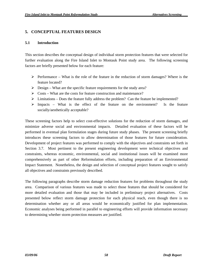# **5. CONCEPTUAL FEATURES DESIGN**

### **5.1 Introduction**

This section describes the conceptual design of individual storm protection features that were selected for further evaluation along the Fire Island Inlet to Montauk Point study area. The following screening factors are briefly presented below for each feature:

- $\triangleright$  Performance What is the role of the feature in the reduction of storm damages? Where is the feature located?
- $\triangleright$  Design What are the specific feature requirements for the study area?
- $\triangleright$  Costs What are the costs for feature construction and maintenance?
- $\triangleright$  Limitations Does the feature fully address the problem? Can the feature be implemented?
- $\triangleright$  Impacts What is the effect of the feature on the environment? Is the feature socially/aesthetically acceptable?

These screening factors help to select cost-effective solutions for the reduction of storm damages, and minimize adverse social and environmental impacts. Detailed evaluation of these factors will be performed in eventual plan formulation stages during future study phases. The present screening briefly introduces these screening factors to allow determination of those features for future consideration. Development of project features was performed to comply with the objectives and constraints set forth in Section 3.7. Most pertinent to the present engineering development were technical objectives and constraints, whereas economic, environmental, social and institutional issues will be examined more comprehensively as part of other Reformulation efforts, including preparation of an Environmental Impact Statement. Nonetheless, the design and selection of conceptual project features sought to satisfy all objectives and constraints previously described.

The following paragraphs describe storm damage reduction features for problems throughout the study area. Comparison of various features was made to select those features that should be considered for more detailed evaluation and those that may be included in preliminary project alternatives. Costs presented below reflect storm damage protection for each physical reach, even though there is no determination whether any or all areas would be economically justified for plan implementation. Economic analyses being performed in parallel to engineering efforts will provide information necessary to determining whether storm protection measures are justified.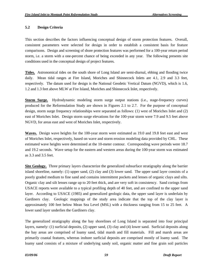# **5.2 Design Criteria**

This section describes the factors influencing conceptual design of storm protection features. Overall, consistent parameters were selected for design in order to establish a consistent basis for feature comparisons. Design and screening of shore protection features was performed for a 100-year return period storm, i.e. a storm with a one-percent chance of being exceeded in any year. The following presents site conditions used in the conceptual design of project features.

**Tides.** Astronomical tides on the south shore of Long Island are semi-diurnal, ebbing and flooding twice daily. Mean tidal ranges at Fire Island, Moriches and Shinnecock Inlets are 4.1, 2.9 and 3.3 feet, respectively. The datum used for design is the National Geodetic Vertical Datum (NGVD), which is 1.6, 1.2 and 1.3 feet above MLW at Fire Island, Moriches and Shinnecock Inlet, respectively.

**Storm Surge.** Hydrodynamic modeling storm surge output stations (i.e., stage-frequency curves) produced for the Reformulation Study are shown in Figures 2.1 to 2.7. For the purpose of conceptual design, storm surge frequency relationships were separated as follows: (1) west of Moriches Inlet and (2) east of Moriches Inlet. Design storm surge elevations for the 100-year storm were 7.9 and 9.5 feet above NGVD, for areas east and west of Moriches Inlet, respectively.

**Waves.** Design wave heights for the 100-year storm were estimated as 19.0 and 19.8 feet east and west of Moriches Inlet, respectively, based on wave and storm erosion modeling data provided by CHL. These estimated wave heights were determined at the 10-meter contour. Corresponding wave periods were 18.7 and 19.2 seconds. Wave setup for the eastern and western areas during the 100-year storm was estimated as 3.3 and 3.5 feet.

**Site Geology.** Three primary layers characterize the generalized subsurface stratigraphy along the barrier island shoreline, namely: (1) upper sand, (2) clay and (3) lower sand. The upper sand layer consists of a poorly graded medium to fine sand and contains intermittent pockets and lenses of organic clays and silts. Organic clay and silt lenses range up to 20 feet thick, and are very soft in consistency. Sand corings from USACE reports were available to a typical profiling depth of 40 feet, and are confined to the upper sand layer. According to USACE (1985) and generalized geologic data, the upper sand layer is underlain by Gardiners clay. Geologic mappings of the study area indicate that the top of the clay layer is approximately 100 feet below Mean Sea Level (MSL) with a thickness ranging from 15 to 25 feet. A lower sand layer underlies the Gardiners clay.

The generalized stratigraphy along the bay shorelines of Long Island is separated into four principal layers, namely: (1) surficial deposits, (2) upper sand, (3) clay and (4) lower sand. Surficial deposits along the bay areas are comprised of loamy sand, tidal marsh and fill materials. Fill and marsh areas are primarily coastal features, whereas inshore surficial deposits are comprised mostly of loamy sand. The loamy sand consists of a mixture of underlying sandy soil, organic matter and fine grain soil particles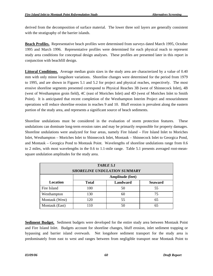derived from the decomposition of surface material. The lower three soil layers are generally consistent with the stratigraphy of the barrier islands.

**Beach Profiles.** Representative beach profiles were determined from surveys dated March 1995, October 1995 and March 1996. Representative profiles were determined for each physical reach to represent study area conditions for conceptual design analyses. These profiles are presented later in this report in conjunction with beachfill design.

**Littoral Conditions.** Average median grain sizes in the study area are characterized by a value of 0.40 mm with only minor longshore variations. Shoreline changes were determined for the period from 1979 to 1995, and are shown in Figures 5.1 and 5.2 for project and physical reaches, respectively. The most erosive shoreline segments presented correspond to Physical Reaches 3B (west of Shinnecock Inlet), 4B (west of Westhampton groin field), 4C (east of Moriches Inlet) and 4D (west of Moriches Inlet to Smith Point). It is anticipated that recent completion of the Westhampton Interim Project and renourishment operations will reduce shoreline erosion in reaches 9 and 10. Bluff erosion is prevalent along the eastern portion of the study area, and represents a significant source of beach sediments.

Shoreline undulations must be considered in the evaluation of storm protection features. These undulations can dominate long-term erosion rates and may be primarily responsible for property damages. Shoreline undulations were analyzed for four areas, namely Fire Island – Fire Island Inlet to Moriches Inlet, Westhampton – Moriches Inlet to Shinnecock Inlet, Montauk – Shinnecock Inlet to Georgica Pond, and Montauk – Georgica Pond to Montauk Point. Wavelengths of shoreline undulations range from 0.6 to 2 miles, with most wavelengths in the 0.6 to 1.1-mile range. Table 5.1 presents averaged root-meansquare undulation amplitudes for the study area.

| <b>TABLE 5.1</b><br><b>SHORELINE UNDULATION SUMMARY</b> |                  |          |                |
|---------------------------------------------------------|------------------|----------|----------------|
|                                                         | Amplitude (feet) |          |                |
| Location                                                | <b>Total</b>     | Landward | <b>Seaward</b> |
| Fire Island                                             | 100              | 50       | 55             |
| Westhampton                                             | 130              | 60       | 75             |
| Montauk (West)                                          | 120              | 55       | 65             |
| Montauk (East)                                          | 110              | 50       | 65             |

**Sediment Budget.** Sediment budgets were developed for the entire study area between Montauk Point and Fire Island Inlet. Budgets account for shoreline changes, bluff erosion, inlet sediment trapping or bypassing and barrier island overwash. Net longshore sediment transport for the study area is predominately from east to west and ranges between from negligible transport near Montauk Point to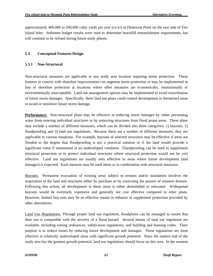approximately 400,000 to 500,000 cubic yards per year (cy/yr) at Democrat Point on the east side of Fire Island Inlet. Sediment budget results were used to determine beachfill renourishment requirements, but will continue to be refined during future study phases.

# **5.3 Conceptual Features Design**

## **5.3.1 Non-Structural**

Non-structural measures are applicable to any study area location requiring storm protection. These features in concert with shoreline improvements can augment storm protection or may be implemented in lieu of shoreline protection at locations where other measures are economically, institutionally or environmentally unacceptable. Land use management options may be implemented to avoid exacerbation of future storm damages. Specifically, these land use plans could control development in threatened areas to avoid or minimize future storm damage.

**Performance.** Non-structural plans may be effective in reducing storm damages by either preventing water from entering individual structures or by removing structures from flood prone areas. These plans may include a number of different measures, which can be divided into three categories: 1) buyouts, 2) floodproofing and 3) land use regulations. Because there are a number of different measures, they are applicable to various situations. For example, buyouts of selected structures may be effective if areas are flooded to the degree that floodproofing is not a practical solution or if the land would provide a significant value if maintained in an undeveloped condition. Floodproofing can be used to supplement structural protection or to protect individual structures where structural protection would not be cost effective. Land use regulations are usually only effective in areas where future development (and damages) is expected. Each measure may be used alone or in combination with structural measures.

Buyouts. Permanent evacuation of existing areas subject to erosion and/or inundation involves the acquisition of the land and structures either by purchase or by exercising the powers of eminent domain. Following this action, all development in these areas is either demolished or relocated. Widespread buyouts would be extremely expensive and generally not cost effective compared to other plans. However, limited buy-outs may be an effective means to enhance or supplement protection provided by other alternatives.

Land Use Regulations. Through proper land use regulation, floodplains can be managed to insure that their use is compatible with the severity of a flood hazard. Several means of land use regulation are available, including zoning ordinances, subdivision regulations, and building and housing codes. Their purpose is to reduce losses by reducing future development and damages. These regulations are most effective in relatively undeveloped areas with significant growth potential. Since the eastern end of the study area has the greatest growth potential, land use regulations should focus on this area. In the western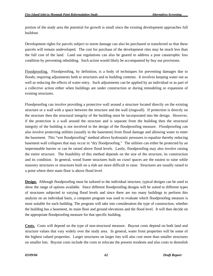portion of the study area the potential for growth is small since the existing development approaches full buildout.

Development rights for parcels subject to storm damage can also be purchased or transferred so that these parcels will remain undeveloped. The cost for purchase of the development rites may be much less than the full cost of the land. Land use regulations can also be geared to address a post catastrophic loss condition by preventing rebuilding. Such action would likely be accompanied by buy out provisions.

Floodproofing.Floodproofing, by definition, is a body of techniques for preventing damages due to floods; requiring adjustments both to structures and to building contents. It involves keeping water out as well as reducing the effects of water entry. Such adjustments can be applied by an individual or as part of a collective action either when buildings are under construction or during remodeling or expansion of existing structures.

Floodproofing can involve providing a protective wall around a structure located directly on the existing structure or a wall with a space between the structure and the wall (ringwall). If protection is directly on the structure then the structural integrity of the building must be incorporated into the design. However, if the protection is a wall around the structure and is separate from the building then the structural integrity of the building is not involved in the design of the floodproofing measure. Floodproofing can also involve protecting utilities (usually in the basement) from flood damage and allowing water to enter the basement. This "wet floodproofing" method allows hydrostatic pressures to equalize thereby reducing basement wall collapses that may occur in "dry floodproofing." The utilities can either be protected by an impermeable barrier or can be raised above flood levels. Lastly, floodproofing may also involve raising the entire structure. The feasibility of this method depends on the size of the structure, its construction and its condition. In general, wood frame structures built on crawl spaces are the easiest to raise while masonry structures or structures built on a slab are more difficult to raise. Structures are usually raised to a point where their main floor is above flood level.

**Design.** Although floodproofing must be tailored to the individual structure, typical designs can be used to show the range of options available. Since different floodproofing designs will be suited to different types of structures subjected to varying flood levels and since there are too many buildings to perform this analysis on an individual basis, a computer program was used to evaluate which floodproofing measure is most suitable for each building. The program will take into consideration the type of construction, whether the building has a basement, its main floor and ground elevations and the flood level. It will then decide on the appropriate floodproofing measure for that specific building.

**Costs.** Costs will depend on the type of non-structural measure. Buyout costs depend on both land and structure values that vary widely over the study area. In general, water front properties will be some of the highest valued properties. Larger structures on larger lots will also cost more than smaller structures on smaller lots. Buyout costs include the costs to relocate the present residents and also costs to demolish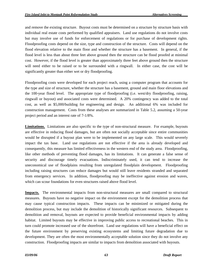and remove the existing structure. Buyout costs must be determined on a structure by structure basis with individual real estate costs performed by qualified appraisers. Land use regulations do not involve costs but may involve use of funds for enforcement of regulations or for purchase of development rights. Floodproofing costs depend on the size, type and construction of the structure. Costs will depend on the flood elevation relative to the main floor and whether the structure has a basement. In general, if the flood level is less than about three feet above ground then the structure can be flood proofed at minimal cost. However, if the flood level is greater than approximately three feet above ground then the structure will need either to be raised or to be surrounded with a ringwall. In either case, the cost will be significantly greater than either wet or dry floodproofing.

Floodproofing costs were developed for each project reach, using a computer program that accounts for the type and size of structure, whether the structure has a basement, ground and main floor elevations and the 100-year flood level. The appropriate type of floodproofing (i.e. west/dry floodproofing, raising, ringwall or buyout) and associated costs were determined. A 20% contingency was added to the total cost, as well as \$5,000/building for engineering and design. An additional 6% was included for construction management. Costs from these analyses are summarized in Table 5.2, assuming a 50-year project period and an interest rate of 7-1/8%.

**Limitations.** Limitations are also specific to the type of non-structural measure. For example, buyouts are effective in reducing flood damages, but are often not socially acceptable since entire communities would be disrupted if a buyout plan were to be implemented on any large scale. This would severely impact the tax base. Land use regulations are not effective if the area is already developed and consequently, this measure has limited effectiveness in the western end of the study area. Floodproofing, like other methods of preventing flood damages, has its limitations. It can generate a false sense of security and discourage timely evacuations. Indiscriminately used, it can tend to increase the uneconomical use of floodplains resulting from unregulated floodplain development. Floodproofing including raising structures can reduce damages but would still leave residents stranded and separated from emergency services. In addition, floodproofing may be ineffective against erosion and waves, which can scour foundations for even structures raised above flood level.

**Impacts.** The environmental impacts from non-structural measures are small compared to structural measures. Buyouts have no negative impact on the environment except for the demolition process that may cause typical construction impacts. These impacts can be minimized or mitigated during the demolition process, but may include the demolition of historically significant resources. Subsequent to demolition and removal, buyouts are expected to provide beneficial environmental impacts by adding habitat. Limited buyouts may be effective in improving public access to recreational beaches. This in turn could promote increased use of the shorefront. Land use regulations will have a beneficial effect on the future environment by preserving existing ecosystems and limiting future degradation due to development. They are often the most environmentally acceptable solution since they do not involve any construction. Floodproofing impacts are similar to impacts from demolition associated with buyouts.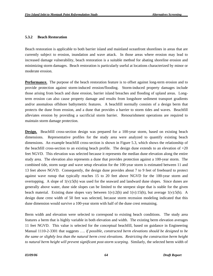### **5.3.2 Beach Restoration**

Beach restoration is applicable to both barrier island and mainland oceanfront shorelines in areas that are currently subject to erosion, inundation and wave attack. In those areas where erosion may lead to increased damage vulnerability, beach restoration is a suitable method for abating shoreline erosion and minimizing storm damages. Beach restoration is particularly useful at locations characterized by minor or moderate erosion.

**Performance.** The purpose of the beach restoration feature is to offset against long-term erosion and to provide protection against storm-induced erosion/flooding. Storm-induced property damages include those arising from beach and dune erosion, barrier island breaches and flooding of upland areas. Longterm erosion can also cause property damage and results from longshore sediment transport gradients and/or anomalous offshore bathymetric features. A beachfill normally consists of a design berm that protects the dune from erosion, and a dune that provides a barrier to storm tides and waves. Beachfill alleviates erosion by providing a sacrificial storm barrier. Renourishment operations are required to maintain storm damage protection.

**Design.** Beachfill cross-section design was prepared for a 100-year storm, based on existing beach dimensions. Representative profiles for the study area were analyzed to quantify existing beach dimensions. An example beachfill cross-section is shown in Figure 5.3, which shows the relationship of the beachfill cross-section to an existing beach profile. The design dune extends to an elevation of +20 feet NGVD. This elevation was selected because it represents the median dune elevation along the entire study area. The elevation also represents a dune that provides protection against a 100-year storm. The combined tide, storm surge and wave setup elevation for the 100-year storm is estimated between 11 and 13 feet above NGVD. Consequently, the design dune provides about 7 to 9 feet of freeboard to protect against wave runup that typically reaches 15 to 20 feet above NGVD for the 100-year storm and overtopping. A slope of 1(v):5(h) was used for the seaward and landward dune slopes. Since dunes are generally above water, dune side slopes can be limited to the steepest slope that is stable for the given beach material. Existing dune slopes vary between  $1(v):2(h)$  and  $1(v):15(h)$ , but average  $1(v):5(h)$ . A design dune crest width of 50 feet was selected, because storm recession modeling indicated that this dune dimension would survive a 100-year storm with half of the dune crest remaining.

Berm width and elevation were selected to correspond to existing beach conditions. The study area features a berm that is highly variable in both elevation and width. The existing berm elevation averages 11 feet NGVD. This value is selected for the conceptual beachfill, based on guidance in Engineering Manual 1110-2-3301 that suggests …. *if possible, constructed berm elevations should be designed to be the same or slightly less than the natural berm crest elevations. Restricting the construction berm height to natural berm height will prevent significant post-storm scarping*. Similarly, the selected berm width of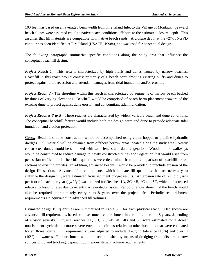100 feet was based on an averaged berm width from Fire Island Inlet to the Village of Montauk. Seaward beach slopes were assumed equal to native beach conditions offshore to the estimated closure depth. This assumes that fill materials are compatible with native beach sands. A closure depth at the –27-ft NGVD contour has been identified at Fire Island (USACE, 1998a), and was used for conceptual design.

The following paragraphs summarize specific conditions along the study area that influence the conceptual beachfill design.

*Project Reach 1* - This area is characterized by high bluffs and dunes fronted by narrow beaches. Beachfill in this reach would consist primarily of a beach berm fronting existing bluffs and dunes to protect against bluff recession and attendant damages from tidal inundation and/or erosion.

*Project Reach 2* - The shoreline within this reach is characterized by segments of narrow beach backed by dunes of varying elevations. Beachfill would be comprised of beach berm placement seaward of the existing dune to protect against dune erosion and concomitant tidal inundation.

*Project Reaches 3 to 5 - These reaches are characterized by widely variable beach and dune conditions.* The conceptual beachfill feature would include both the design berm and dune to provide adequate tidal inundation and erosion protection.

**Costs.** Beach and dune construction would be accomplished using either hopper or pipeline hydraulic dredges. Fill material will be obtained from offshore borrow areas located along the study area. Newly constructed dunes would be stabilized with sand fences and dune vegetation. Wooden dune walkways would be constructed to reduce damage to newly constructed dunes and vegetation that would arise from pedestrian traffic. Initial beachfill quantities were determined from the comparison of beachfill crosssections to existing profiles. In addition, advanced beachfill would be provided to preclude erosion of the design fill section. Advanced fill requirements, which indicate fill quantities that are necessary to stabilize the design fill, were estimated from sediment budget results. An erosion rate of 6 cubic yards per foot of beach per year (cy/ft/yr) was utilized for Reaches 1A, 3C, 4B, 4C and 5C, which is increased relative to historic rates due to recently accelerated erosion. Periodic renourishment of the beach would also be required approximately every 4 to 8 years over the project life. Periodic renourishment requirements are equivalent to advanced fill volumes.

Estimated design fill quantities are summarized in Table 5.3, for each physical reach. Also shown are advanced fill requirements, based on an assumed renourishment interval of either 4 or 8 years, depending of erosion severity. Physical reaches 1A, 3B, 3C, 4B, 4C, 4D and 5C were estimated for a 4-year nourishment cycle due to more severe erosion conditions relative to other locations that were estimated for an 8-year cycle. Fill requirements were adjusted to include dredging tolerance (15%) and overfill (10%) allowances. Renourishment would be accomplished by means of dredging from offshore borrow sources or upland trucking, depending on renourishment volume requirements.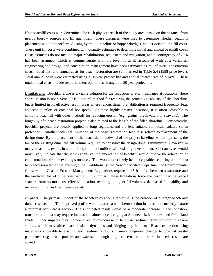Unit beachfill costs were determined for each physical reach of the study area, based on the distance from nearby borrow sources and fill quantities. These distances were used to determine whether beachfill placement would be performed using hydraulic pipeline or hopper dredges, and associated unit fill costs. These unit fill costs were combined with quantity estimates to determine initial and annual beachfill costs. Costs estimates do not include major rehabilitation, real estate and mitigation, and a contingency of 20% has been assumed, which is commensurate with the level of detail associated with cost variables. Engineering and design, and construction management have been estimated as 7% of initial construction costs. Total first and annual costs for beach restoration are summarized in Table 5.4 (1998 price level). Total annual costs were estimated using a 50-year project life and annual interest rate of 7-1/8%. These total annual costs include renourishment operations through the 50-year project life.

**Limitations.** Beachfill alone is a viable solution for the reduction of storm damages at locations where shore erosion is not severe. It is a natural method for restoring the protective capacity of the shoreline, but is limited in its effectiveness in areas where renourishment/rehabilitation is required frequently (e.g. adjacent to inlets or erosional hot spots). At these highly erosive locations, it is often advisable to combine beachfill with other methods for reducing erosion (e.g., groins, breakwaters or seawalls). The longevity of a beach restoration project is also related to the length of the filled shoreline. Consequently, beachfill projects are ideally applied to long segments and are less suitable for local, isolated storm protection. Another technical limitation of the beach restoration feature is related to placement of the design dune. By the placement of the beach dune landward of the project baseline, which represents the toe of the existing dune, the fill volume required to construct the design dune is minimized. However, in many areas, this results in a dune footprint that conflicts with existing development. Cost analyses would most likely indicate that the least expensive implementation of beachfill would involve the relocation or condemnation of some existing structures. This would most likely be unacceptable, requiring dune fill to be placed seaward of the existing dune. Additionally, the New York State Department of Environmental Conservation Coastal Erosion Management Regulations requires a 25-ft buffer between a structure and the landward toe of dune construction. In summary, these limitations force the beachfill to be placed seaward from its most cost-effective location, resulting in higher fill volumes, decreased fill stability and increased initial and maintenance costs.

**Impacts.** The primary impact of the beach restoration alternative is the creation of a larger beach and dune cross-section. The improved profile would feature a wide berm section in areas that currently feature a minimal berm cross section. The anticipated result would be a moderate increase in the longshore transport rate, that may require increased maintenance dredging at Shinnecock, Moriches, and Fire Island Inlets. Other impacts may include a reduction/increase in landward sediment transport during severe storms, which may affect barrier island dynamics and fringing bay habitats. Beach restoration using materials comparable to existing beach sediments results in minor long-term changes to physical coastal parameters (e.g. beach profiles and waves), although long-term erosion and storm-induced erosion are abated.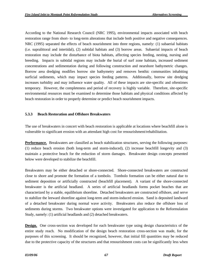According to the National Research Council (NRC 1995), environmental impacts associated with beach restoration range from short- to long-term alterations that include both positive and negative consequences. NRC (1995) separated the effects of beach nourishment into three regions, namely: (1) subaerial habitats (i.e. supralittoral and intertidal), (2) subtidal habitats and (3) borrow areas. Subaerial impacts of beach restoration may include the disturbance of biota habitats, affecting species feeding, nesting, nursing and breeding. Impacts in subtidal regions may include the burial of surf zone habitats, increased sediment concentrations and sedimentation during and following construction and nearshore bathymetric changes. Borrow area dredging modifies borrow site bathymetry and removes benthic communities inhabiting surficial sediments, which may impact species feeding patterns. Additionally, borrow site dredging increases turbidity and may influence water quality. All of these impacts are site-specific and oftentimes temporary. However, the completeness and period of recovery is highly variable. Therefore, site-specific environmental resources must be examined to determine those habitats and physical conditions affected by beach restoration in order to properly determine or predict beach nourishment impacts.

# **5.3.3 Beach Restoration and Offshore Breakwaters**

The use of breakwaters in concert with beach restoration is applicable at locations where beachfill alone is vulnerable to significant erosion with an attendant high cost for renourishment/rehabilitation.

**Performance.** Breakwaters are classified as beach stabilization structures, serving the following purposes: (1) reduce beach erosion (both long-term and storm-induced), (2) increase beachfill longevity and (3) maintain a protective beach for the reduction of storm damages. Breakwater design concepts presented below were developed to stabilize the beachfill.

Breakwaters may be either detached or shore-connected. Shore-connected breakwaters are constructed close to shore and promote the formation of a tombolo. Tombolo formation can be either natural due to sediment deposition or artificially constructed (beachfill placement). A variant of the shore-connected breakwater is the artificial headland. A series of artificial headlands forms pocket beaches that are characterized by a stable, equilibrium shoreline. Detached breakwaters are constructed offshore, and serve to stabilize the leeward shoreline against long-term and storm-induced erosion. Sand is deposited landward of a detached breakwater during normal wave activity. Breakwaters also reduce the offshore loss of sediments during storms. Two breakwater options were investigated for application to the Reformulation Study, namely: (1) artificial headlands and (2) detached breakwaters.

**Design.** One cross-section was developed for each breakwater type using design characteristics of the entire study reach. No modification of the design beach restoration cross-section was made, for the purposes of this screening. It should be recognized, however, that initial fill quantities may be reduced due to the protective capacity of the structures and that renourishment costs can be significantly less when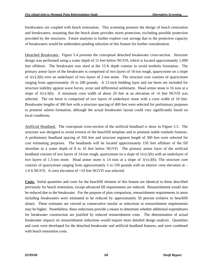breakwaters are coupled with beach restoration. This screening presents the design of beach restoration and breakwaters, assuming that the beach alone provides storm protection, excluding possible protection provided by the structures. Future analyses to further explore cost savings due to the protective capacity of breakwaters would be undertaken pending selection of this feature for further consideration.

Detached Breakwater. Figure 5.4 presents the conceptual detached breakwater cross-section. Structure design was performed using a water depth of 15 feet below NGVD, which is located approximately 1,000 feet offshore. The breakwater was sited at the 15-ft depth contour to avoid tombolo formation. The primary armor layer of the breakwater is comprised of two layers of 16-ton rough, quarrystone on a slope of  $1(y)$ :2(h) over an underlayer of two layers of 2-ton stone. The structure core consists of quarrystone ranging from approximately 10 to 200 pounds. A 12-inch bedding layer and toe berm are included for structure stability against wave forces, scour and differential settlement. Head armor stone is 16 tons at a slope of  $1(v):3(h)$ . A minimum crest width of about 20 feet at an elevation of  $+6$  feet NGVD was selected. The toe berm is comprised of two layers of underlayer stone with a crest width of 10 feet. Breakwater lengths of 300 feet with a structure spacing of 400 feet were selected for preliminary purposes to promote salient formation, although the actual breakwater layout could vary significantly based on local conditions.

Artificial Headland. The conceptual cross-section of the artificial headland is show in Figure 5.5. The structure was designed to avoid erosion of the beachfill template and to promote stable tombolo features. A preliminary headland spacing of 350 feet and structure segment length of 300 feet were selected for cost estimating purposes. The headlands will be located approximately 150 feet offshore of the fill shoreline in a water depth of 8 to 10 feet below NGVD. The primary armor layer of the artificial headland consists of two layers of 14-ton rough, quarrystone on a slope of  $1(v):2(h)$  with an underlayer of two layers of 1.5-ton stone. Head armor stone is 14 tons at a slope of  $1(v):3(h)$ . The structure core consists of quarrystone ranging from approximately 5 to 150 pounds with an interior crest elevation at  $-$ 1.0 ft NGVD. A crest elevation of +10 feet NGVD was selected.

**Costs.** Initial quantities and costs for the beachfill element of this feature are identical to those described previously for beach restoration, except advanced fill requirements are reduced. Renourishment would also be reduced due to the breakwater. For the purpose of plan comparison, renourishment requirements in areas including breakwaters were estimated to be reduced by approximately 50 percent (relative to beachfill alone). These estimates are viewed as conservative insofar as reductions in renourishment requirements may be higher. Nonetheless, these reductions provide a means to determine whether additional expenditures for breakwater construction are justified by reduced renourishment costs. The determination of actual breakwater impacts on renourishment reductions would require more detailed design analysis. Quantities and costs were developed for the detached breakwater and artificial headland features, and were combined with beach restoration costs.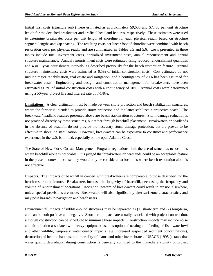Initial first costs (structure only) were estimated as approximately \$9,600 and \$7,700 per unit structure length for the detached breakwater and artificial headland features, respectively. These estimates were used to determine breakwater costs per unit length of shoreline for each physical reach, based on structure segment lengths and gap spacing. The resulting costs per linear foot of shoreline were combined with beach restoration costs per physical reach, and are summarized in Tables 5.5 and 5.6. Costs presented in these tables include total investment costs, annualized investment costs, annual renourishment and annual structure maintenance. Annual renourishment costs were estimated using reduced renourishment quantities and 4 or 8-year nourishment intervals, as described previously for the beach restoration feature. Annual structure maintenance costs were estimated as 0.5% of initial construction costs. Cost estimates do not include major rehabilitation, real estate and mitigation, and a contingency of 20% has been assumed for breakwater costs. Engineering and design, and construction management for breakwaters have been estimated as 7% of initial construction costs with a contingency of 10%. Annual costs were determined using a 50-year project life and interest rate of 7-1/8%.

**Limitations.** A clear distinction must be made between shore protection and beach stabilization structures, where the former is intended to provide storm protection and the latter stabilizes a protective beach. The breakwater/headland features presented above are beach stabilization structures. Storm damage reduction is not provided directly by these structures, but rather through beachfill placement. Breakwaters or headlands in the absence of beachfill do not provide the necessary storm damage protection, but are proven to be effective in shoreline stabilization. However, breakwaters can be expensive to construct and performance experience in the U.S. is limited, especially on the open Atlantic Coast.

The State of New York, Coastal Management Program, regulations limit the use of structures to locations where beachfill alone is not viable. It is judged that breakwaters or headlands could be an acceptable feature in the present context, because they would only be considered at locations where beach restoration alone is not effective.

**Impacts.** The impacts of beachfill in concert with breakwaters are comparable to those described for the beach restoration feature. Breakwaters increase the longevity of beachfill, decreasing the frequency and volume of renourishment operations. Accretion leeward of breakwaters could result in erosion elsewhere, unless special provisions are made. Breakwaters will also significantly alter surf zone characteristics, and may pose hazards to navigation and beach users.

Environmental impacts of rubble-mound structures may be separated as (1) short-term and (2) long-term, and can be both positive and negative. Short-term impacts are usually associated with project construction, although construction can be scheduled to minimize these impacts. Construction impacts may include noise and air pollution associated with heavy equipment use, disruption of nesting and feeding of fish, waterfowl and other wildlife, temporary water quality impacts (e.g. increased suspended sediment concentrations), destruction of benthic habitats, and mortality of clams and other invertebrates. USACE (1995a) states that water quality degradation during construction is generally confined to the immediate vicinity of project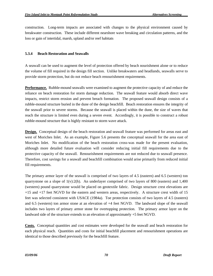construction. Long-term impacts are associated with changes to the physical environment caused by breakwater construction. These include different nearshore wave breaking and circulation patterns, and the loss or gain of intertidal, marsh, upland and/or reef habitats

## **5.3.4 Beach Restoration and Seawalls**

A seawall can be used to augment the level of protection offered by beach nourishment alone or to reduce the volume of fill required in the design fill section. Unlike breakwaters and headlands, seawalls serve to provide storm protection, but do not reduce beach renourishment requirements.

**Performance.** Rubble-mound seawalls were examined to augment the protective capacity of and reduce the reliance on beach restoration for storm damage reduction. The seawall feature would absorb direct wave impacts, restrict storm erosion and prevent breach formation. The proposed seawall design consists of a rubble-mound structure buried in the dune of the design beachfill. Beach restoration ensures the integrity of the seawall prior to severe storms. Because the seawall is placed within the dune, the size of waves that reach the structure is limited even during a severe event. Accordingly, it is possible to construct a robust rubble-mound structure that is highly resistant to storm wave attack.

**Design.** Conceptual design of the beach restoration and seawall feature was performed for areas east and west of Moriches Inlet. As an example, Figure 5.6 presents the conceptual seawall for the area east of Moriches Inlet. No modification of the beach restoration cross-was made for the present evaluation, although more detailed future evaluation will consider reducing initial fill requirements due to the protective capacity of the seawall. Renourishment requirements are not reduced due to seawall presence. Therefore, cost savings for a seawall and beachfill combination would arise primarily from reduced initial fill requirements.

The primary armor layer of the seawall is comprised of two layers of 4.5 (eastern) and 6.5 (western) ton quarrystone on a slope of  $1(v):2(h)$ . An underlayer comprised of two layers of 800 (eastern) and 1,400 (western) pound quarrystone would be placed on geotextile fabric. Design structure crest elevations are +15 and +17 feet NGVD for the eastern and western areas, respectively. A structure crest width of 15 feet was selected consistent with USACE (1984a). Toe protection consists of two layers of 4.5 (eastern) and 6.5 (western) ton armor stone at an elevation of +4 feet NGVD. The landward slope of the seawall includes two layers of primary armor stone for overtopping protection. The primary armor layer on the landward side of the structure extends to an elevation of approximately +5 feet NGVD.

**Costs.** Conceptual quantities and cost estimates were developed for the seawall and beach restoration for each physical reach. Quantities and costs for initial beachfill placement and renourishment operations are identical to those described previously for the beachfill feature.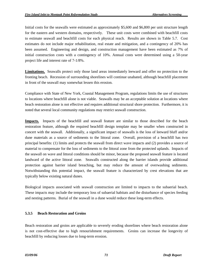Initial costs for the seawalls were estimated as approximately \$5,600 and \$6,800 per unit structure length for the eastern and western domains, respectively. These unit costs were combined with beachfill costs to estimate seawall and beachfill costs for each physical reach. Results are shown in Table 5.7. Cost estimates do not include major rehabilitation, real estate and mitigation, and a contingency of 20% has been assumed. Engineering and design, and construction management have been estimated as 7% of initial construction costs with a contingency of 10%. Annual costs were determined using a 50-year project life and interest rate of 7-1/8%.

**Limitations.** Seawalls protect only those land areas immediately leeward and offer no protection to the fronting beach. Recession of surrounding shorelines will continue unabated, although beachfill placement in front of the seawall may somewhat lessen this erosion.

Compliance with State of New York, Coastal Management Program, regulations limits the use of structures to locations where beachfill alone is not viable. Seawalls may be an acceptable solution at locations where beach restoration alone is not effective and requires additional structural shore protection. Furthermore, it is noted that several local community regulations may restrict seawall construction.

**Impacts.** Impacts of the beachfill and seawall feature are similar to those described for the beach restoration feature, although the required beachfill design template may be smaller when constructed in concert with the seawall. Additionally, a significant impact of seawalls is the loss of leeward bluff and/or dune materials as a source of sediments to the littoral zone. Overall, provision of a beachfill has two principal benefits: (1) limits and protects the seawall from direct wave impacts and (2) provides a source of material to compensate for the loss of sediments to the littoral zone from the protected uplands. Impacts of the seawall on wave and littoral conditions should be minor, because the proposed seawall feature is located landward of the active littoral zone. Seawalls constructed along the barrier islands provide additional protection against barrier island breaching, but may reduce the amount of overwashing sediments. Notwithstanding this potential impact, the seawall feature is characterized by crest elevations that are typically below existing natural dunes.

Biological impacts associated with seawall construction are limited to impacts to the subaerial beach. These impacts may include the temporary loss of subaerial habitats and the disturbance of species feeding and nesting patterns. Burial of the seawall in a dune would reduce these long-term effects.

### **5.3.5 Beach Restoration and Groins**

Beach restoration and groins are applicable to severely eroding shorelines where beach restoration alone is not cost-effective due to high renourishment requirements. Groins can increase the longevity of beachfill by reducing losses due to long-term erosion.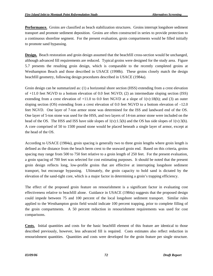**Performance.** Groins are classified as beach stabilization structures. Groins interrupt longshore sediment transport and promote sediment deposition. Groins are often constructed in series to provide protection to a continuous shoreline segment. For the present evaluation, groin compartments would be filled initially to promote sand bypassing.

**Design.** Beach restoration and groin design assumed that the beachfill cross-section would be unchanged, although advanced fill requirements are reduced. Typical groins were designed for the study area. Figure 5.7 presents the resulting groin design, which is comparable to the recently completed groins at Westhampton Beach and those described in USACE (1998b). These groins closely match the design beachfill geometry, following design procedures described in USACE (1984a).

Groin design can be summarized as: (1) a horizontal shore section (HSS) extending from a crest elevation of +11.0 feet NGVD to a bottom elevation of 0.0 feet NGVD; (2) an intermediate sloping section (ISS) extending from a crest elevation of  $+11.0$  to 0.0 feet NGVD at a slope of  $1(v):18(h)$ ; and (3) an outer sloping section (OS) extending from a crest elevation of 0.0 feet NGVD to a bottom elevation of –12.0 feet NGVD. One layer of 7-ton armor stone was determined for the ISS and landward end of the OS. One layer of 5-ton stone was used for the HSS, and two layers of 14-ton armor stone were included on the head of the OS. The HSS and ISS have side slopes of  $1(v):1.5(h)$  and the OS has side slopes of  $1(v):3(h)$ . A core comprised of 50 to 1500 pound stone would be placed beneath a single layer of armor, except at the head of the OS.

According to USACE (1984a), groin spacing is generally two to three groin lengths where groin length is defined as the distance from the beach berm crest to the seaward groin end. Based on this criteria, groins spacing may range from 500 to 750 feet relative to a groin length of 250 feet. For the present evaluation, a groin spacing of 700 feet was selected for cost estimating purposes. It should be noted that the present groin design reflects long, low-profile groins that are effective at interrupting longshore sediment transport, but encourage bypassing. Ultimately, the groin capacity to hold sand is dictated by the elevation of the sand-tight core, which is a major factor in determining a groin's trapping efficiency.

The effect of the proposed groin feature on renourishment is a significant factor in evaluating cost effectiveness relative to beachfill alone. Guidance in USACE (1984a) suggests that the proposed design could impede between 75 and 100 percent of the local longshore sediment transport. Similar rules applied to the Westhampton groin field would indicate 100 percent trapping, prior to complete filling of the groin compartments. A 50 percent reduction in renourishment requirements was used for cost comparisons.

**Costs.** Initial quantities and costs for the basic beachfill element of this feature are identical to those described previously, however, less advanced fill is required. Costs estimates also reflect reduction in renourishment quantities. Quantities and costs were developed for the groin feature per single structure.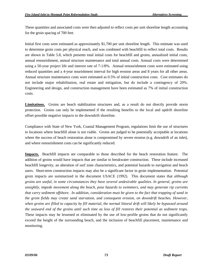These quantities and associated costs were then adjusted to reflect costs per unit shoreline length accounting for the groin spacing of 700 feet.

Initial first costs were estimated as approximately \$1,700 per unit shoreline length. This estimate was used to determine groin costs per physical reach, and was combined with beachfill to reflect total costs. Results are shown in Table 5.8, which presents total initial costs for beachfill and groins, annualized initial costs, annual renourishment, annual structure maintenance and total annual costs. Annual costs were determined using a 50-year project life and interest rate of 7-1/8%. Annual renourishment costs were estimated using reduced quantities and a 4-year nourishment interval for high erosion areas and 8 years for all other areas. Annual structure maintenance costs were estimated as 0.5% of initial construction costs. Cost estimates do not include major rehabilitation, real estate and mitigation, but do include a contingency of 20%. Engineering and design, and construction management have been estimated as 7% of initial construction costs.

Limitations. Groins are beach stabilization structures and, as a result do not directly provide storm protection. Groins can only be implemented if the resulting benefits to the local and updrift shoreline offset possible negative impacts to the downdrift shoreline.

Compliance with State of New York, Coastal Management Program, regulations limit the use of structures to locations where beachfill alone is not viable. Groins are judged to be potentially acceptable at locations where the success of beach restoration alone is compromised by severe erosion (e.g. downdrift of an inlet), and where renourishment costs can be significantly reduced.

**Impacts.** Beachfill impacts are comparable to those described for the beach restoration feature. The addition of groins would have impacts that are similar to breakwater construction. These include increased beachfill longevity, an alteration of surf zone characteristics, and potential hazards to navigation and beach users. Short-term construction impacts may also be a significant factor in groin implementation. Potential groin impacts are summarized in the document USACE (1992). This document states that *although groins are useful, in some circumstances they have several undesirable qualities. In general, groins are unsightly, impede movement along the beach, pose hazards to swimmers, and may generate rip currents that carry sediment offshore. In addition, consideration must be given to the fact that trapping of sand in the groin fields may create sand starvation, and consequent erosion, on downdrift beaches. However, when groins are filled to capacity by fill material, the normal littoral drift will likely be bypassed around the seaward end of the groins until such time as loss of fill restores their potential as sediment traps.*  These impacts may be lessened or eliminated by the use of low-profile groins that do not significantly exceed the height of the surrounding beach, and the inclusion of beachfill placement, maintenance and monitoring.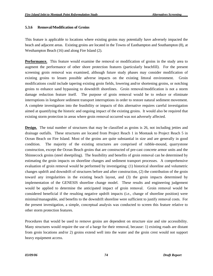## **5.3.6 Removal/Modification of Groins**

This feature is applicable to locations where existing groins may potentially have adversely impacted the beach and adjacent areas. Existing groins are located in the Towns of Easthampton and Southampton (8), at Westhampton Beach (16) and along Fire Island (2).

**Performance.** This feature would examine the removal or modification of groins in the study area to augment the performance of other shore protection features (particularly beachfill). For the present screening groin removal was examined, although future study phases may consider modification of existing groins to lessen possible adverse impacts on the existing littoral environment. Groin modifications could include tapering existing groin fields, lowering and/or shortening groins, or notching groins to enhance sand bypassing to downdrift shorelines. Groin removal/modification is not a storm damage reduction feature itself. The purpose of groin removal would be to reduce or eliminate interruptions in longshore sediment transport interruptions in order to restore natural sediment movement. A complete investigation into the feasibility or impacts of this alternative requires careful investigation aimed at quantifying the historic and ongoing impact of the existing groins. It would also be required that existing storm protection in areas where groin removal occurred was not adversely affected.

**Design.** The total number of structures that may be classified as groins is 26, not including jetties and drainage outfalls. These structures are located from Project Reach 1 in Montauk to Project Reach 5 in Ocean Beach on Fire Island. Most of the groins are quite substantial in size and are generally in good condition. The majority of the existing structures are comprised of rubble-mound, quarrystone construction, except the Ocean Beach groins that are constructed of pre-cast concrete armor units and the Shinnecock groins (steel sheetpiling). The feasibility and benefits of groin removal can be determined by estimating the groin impacts on shoreline changes and sediment transport processes. A comprehensive evaluation of groin removal would be performed by investigating: (1) historical shoreline and volumetric changes updrift and downdrift of structures before and after construction, (2) the contribution of the groin toward any irregularities in the existing beach layout, and (3) the groin impacts determined by implementation of the GENESIS shoreline change model. These results and engineering judgement would be applied to determine the anticipated impact of groin removal. Groin removal would be considered beneficial if the resulting negative updrift impacts (i.e., change of shoreline position) were minimal/manageable, and benefits to the downdrift shoreline were sufficient to justify removal costs. For the present investigation, a simple, conceptual analysis was conducted to screen this feature relative to other storm protection features.

Procedures that would be used to remove groins are dependent on structure size and site accessibility. Many structures would require the use of a barge for their removal, because: 1) existing roads are distant from groin locations and/or 2) groins extend well into the water and the groin crest would not support heavy equipment access.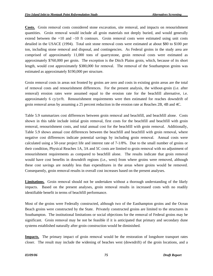**Costs.** Groin removal costs considered stone excavation, site removal, and impacts on renourishment quantities. Groin removal would include all groin materials not deeply buried, and would generally extend between the +10 and –10 ft contours. Groin removal costs were estimated using unit costs detailed in the USACE (1994). Total unit stone removal costs were estimated at about \$80 to \$100 per ton, including stone removal and disposal, and contingencies. As Federal groins in the study area are comprised of approximately 11,000 tons of quarrystone, groin removal costs were estimated as approximately \$760,000 per groin. The exception is the Ditch Plains groin, which, because of its short length, would cost approximately \$380,000 for removal. The removal of the Southampton groins was estimated as approximately \$190,000 per structure.

Groin removal costs in areas not fronted by groins are zero and costs in existing groin areas are the total of removal costs and renourishment differences. For the present analysis, the without-groin (i.e. after removal) erosion rates were assumed equal to the erosion rate for the beachfill alternative, i.e. approximately 6 cy/yr/ft. Renourishment requirements were then estimated for reaches downdrift of groin removal areas by assuming a 25 percent reduction in the erosion rate at Reaches 2B, 4B and 4C.

Table 5.9 summarizes cost differences between groin removal and beachfill, and beachfill alone. Costs shown in this table include initial groin removal, first costs for the beachfill and beachfill with groin removal, renourishment costs, and total annual cost for the beachfill with groin removal. Additionally, Table 5.9 shows annual cost differences between the beachfill and beachfill with groin removal, where negative cost differences indicate potential savings by including groin removal. Annual costs were calculated using a 50-year project life and interest rate of 7-1/8%. Due to the small number of groins or their condition, Physical Reaches 1A, 3A and 5C costs are limited to groin removal with no adjustment of renourishment requirements as compared to beachfill alone. The results indicate that groin removal would have cost benefits in downdrift regions (i.e., west) from where groins were removed, although these cost savings are notably less than expenditures in the areas where groins would be removed. Consequently, groin removal results in overall cost increases based on the present analyses.

**Limitations.** Groin removal should not be undertaken without a thorough understanding of the likely impacts. Based on the present analyses, groin removal results in increased costs with no readily identifiable benefit in terms of beachfill performance.

Most of the groins were Federally constructed, although two of the Easthampton groins and the Ocean Beach groins were constructed by the State. Privately constructed groins are limited to the structures in Southampton. The institutional limitations or social objections for the removal of Federal groins may be significant. Groin removal may be not be feasible if it is anticipated that primary and secondary dune systems established naturally after groin construction would be diminished.

**Impacts.** The primary impact of groin removal would be the restoration of longshore transport rates closer. The result may include the widening of beaches west (downdrift) of the groin locations, and a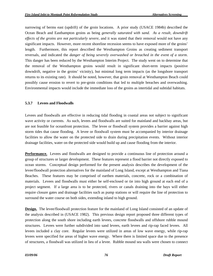narrowing of berms east (updrift) of the groin locations. A prior study (USACE 1984b) described the Ocean Beach and Easthampton groins as being *generally saturated with sand. As a result, downdrift effects of the groins are not particularly severe*, and it was stated that their removal would not have any significant impacts. However, more recent shoreline recession seems to have exposed more of the groins' length. Furthermore, this report described the Westhampton Groins as creating sediment transport reversals, and indicated the *danger of being severely overwashed or breached in the event of a storm*. This danger has been reduced by the Westhampton Interim Project. The study went on to determine that the removal of the Westhampton groins would result in significant short-term impacts (positive downdrift, negative in the groins' vicinity), but minimal long term impacts (as the longshore transport returns to its existing rate). It should be noted, however, that groin removal at Westhampton Beach could possibly cause erosion to revert to pre-groin conditions that led to multiple breaches and overwashing. Environmental impacts would include the immediate loss of the groins as intertidal and subtidal habitats.

### **5.3.7 Levees and Floodwalls**

Levees and floodwalls are effective in reducing tidal flooding in coastal areas not subject to significant wave activity or currents. As such, levees and floodwalls are suited for mainland and backbay areas, but are not feasible for oceanfront protection. The levee or floodwall system provides a barrier against high storm tides that cause flooding. A levee or floodwall system must be accompanied by interior drainage facilities to allow the water on the protected side to drain during precipitation events. Without interior drainage facilities, water on the protected side would build up and cause flooding from the interior.

**Performance.** Levees and floodwalls are designed to provide a continuous line of protection around a group of structures or larger development. These features represent a flood barrier not directly exposed to ocean storms. Conceptual design performed for the present analysis describes the development of the levee/floodwall protection alternatives for the mainland of Long Island, except at Westhampton and Tiana Beaches. These features may be comprised of earthen materials, concrete, rock or a combination of materials. Levees and floodwalls must either be self-enclosed or tie into high ground at each end of a project segment. If a large area is to be protected, rivers or canals draining into the bays will either require closure gates and drainage facilities such as pump stations or will require the line of protection to surround the water course on both sides, extending inland to high ground.

**Design.** The levee/floodwall protection feature for the mainland of Long Island consisted of an update of the analysis described in (USACE 1982). This previous design report proposed three different types of protection along the south shore including earth levees, concrete floodwalls and offshore rubble mound structures. Levees were further subdivided into sand levees, earth levees and rip-rap faced levees. All levees included a clay core. Regular levees were utilized in areas of low wave energy, while rip-rap levees were specified for areas of higher wave energy. Where there is limited space due to the presence of structures, a floodwall was utilized in lieu of a levee. Rubble mound sea walls were chosen to connect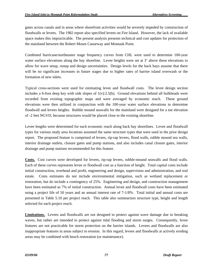gates across canals and in areas where shorefront activities would be severely impeded by construction of floodwalls or levees. The 1982 report also specified levees on Fire Island. However, the lack of available space makes this impracticable. The present analysis presents technical and cost updates for protection of the mainland between the Robert Moses Causeway and Montauk Point.

Combined hurricane/northeaster stage frequency curves from CHL were used to determine 100-year water surface elevations along the bay shoreline. Levee heights were set at 3' above these elevations to allow for wave setup, runup and design uncertainties. Design levels for the back bays assume that there will be no significant increases in future stages due to higher rates of barrier island overwash or the formation of new inlets.

Typical cross-sections were used for estimating levee and floodwall costs. The levee design section includes a 6-foot deep key with side slopes of  $1(v)$ :2.5(h). Ground elevations behind all bulkheads were recorded from existing topographic maps and were averaged by economic reach. These ground elevations were then utilized in conjunction with the 100-year water surface elevations to determine floodwall and levees heights. Rubble mound seawalls for the mainland were designed for a toe elevation of -2 feet NGVD, because structures would be placed close to the existing shoreline.

Levee lengths were determined for each economic reach along back bay shorelines. Levee and floodwall types for various study area locations assumed the same structure types that were used in the prior design report. The proposed feature is comprised of levees, rip-rap levees, flood walls, rubble mound sea walls, interior drainage outlets, closure gates and pump stations, and also includes canal closure gates, interior drainage and pump stations recommended for this feature.

**Costs.** Cost curves were developed for levees, rip-rap levees, rubble-mound seawalls and flood walls. Each of these curves represents levee or floodwall cost as a function of height. Total capital costs include initial construction, overhead and profit, engineering and design, supervision and administration, and real estate. Costs estimates do not include environmental mitigation, such as wetland replacement or restoration, but do include a contingency of 25%. Engineering and design, and construction management have been estimated as 7% of initial construction. Annual levee and floodwall costs have been estimated using a project life of 50 years and an annual interest rate of 7-1/8%. Total initial and annual costs are presented in Table 5.10 per project reach. This table also summarizes structure type, height and length selected for each project reach.

**Limitations.** Levees and floodwalls are not designed to protect against wave damage due to breaking waves, but rather are intended to protect against tidal flooding and storm surges. Consequently, levee features are not practicable for storm protection on the barrier islands. Levees and floodwalls are also inappropriate features in areas subject to erosion. In this regard, levees and floodwalls at actively eroding areas may be combined with beach restoration (or maintenance).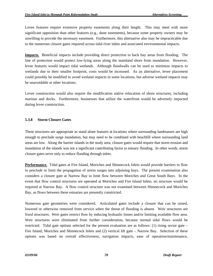Levee features require extensive property easements along their length. This may meet with more significant opposition than other features (e.g., dune easements), because some property owners may be unwilling to provide the necessary easement. Furthermore, this alternative also may be impracticable due to the numerous closure gates required across tidal river inlets and associated environmental impacts.

**Impacts.** Beneficial impacts include providing direct protection to back bay areas from flooding. The line of protection would protect low-lying areas along the mainland shore from inundation. However, levee features would impact tidal wetlands. Although floodwalls can be used to minimize impacts to wetlands due to their smaller footprint, costs would be increased. As an alternative, levee placement could possibly be modified to avoid wetland impacts in some locations, but adverse wetland impacts may be unavoidable at other locations.

Levee construction would also require the modification and/or relocation of shore structures, including marinas and docks. Furthermore, businesses that utilize the waterfront would be adversely impacted during levee construction.

# **5.3.8 Storm Closure Gates**

These structures are appropriate as stand alone features at locations where surrounding landmasses are high enough to preclude surge inundation, but may need to be combined with beachfill where surrounding land areas are low. Along the barrier islands in the study area, closure gates would require that storm erosion and inundation of the islands was not a significant contributing factor to estuary flooding. In other words, storm closure gates serve only to reduce flooding through inlets.

**Performance.** Tidal gates at Fire Island, Moriches and Shinnecock Inlets would provide barriers to flow to preclude or limit the propagation of storm surges into adjoining bays. The present examination also considers a closure gate at Narrow Bay to limit flow between Moriches and Great South Bays. In the event that flow control structures are operated at Moriches and Fire Island Inlets, no structure would be required at Narrow Bay. A flow control structure was not examined between Shinnecock and Moriches Bay, as flows between these estuaries are presently constricted.

Numerous gate geometries were considered. Articulated gates include a closure that can be raised, lowered or otherwise removed from service when the threat of flooding is absent. Weir structures are fixed structures. Weir gates restrict flow by inducing hydraulic losses and/or limiting available flow area. Weir structures were eliminated from further consideration, because normal tidal flows would be restricted. Tidal gate options selected for the present evaluation are as follows: (1) rising sector gate – Fire Island, Moriches and Shinnecock Inlets and (2) vertical lift gate – Narrow Bay. Selection of these options was based on overall effectiveness, navigation impacts, ease of operation/maintenance,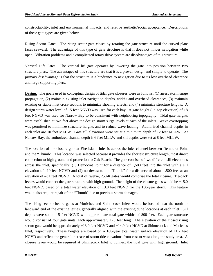constructability, inlet and environmental impacts, and relative aesthetic/social acceptance. Descriptions of these gate types are given below.

Rising Sector Gates. The rising sector gate closes by rotating the gate structure until the curved plate faces seaward. The advantage of this type of gate structure is that it does not hinder navigation while open. Vibration problems and a complicated rotary drive system are disadvantages of this structure.

Vertical Lift Gates. The vertical lift gate operates by lowering the gate into position between two structure piers. The advantages of this structure are that it is a proven design and simple to operate. The primary disadvantage is that the structure is a hindrance to navigation due to its low overhead clearance and large supporting piers.

**Design.** The goals used in conceptual design of tidal gate closures were as follows: (1) arrest storm surge propagation, (2) maintain existing inlet navigation depths, widths and overhead clearances, (3) maintain existing or stable inlet cross-sections to minimize shoaling effects, and (4) minimize structure lengths. A design storm water level of +5 feet NGVD was used for each bay. A gate height (i.e. top elevation) of +8 feet NGVD was used for Narrow Bay to be consistent with neighboring topography. Tidal gate heights were established at two feet above the design storm surge levels at each of the inlets. Wave overtopping was permitted to minimize structure heights and to reduce wave loading. Authorized channel depths in each inlet are 10 feet MLLW. Gate sill elevations were set at a minimum depth of 12 feet MLLW. At Narrow Bay, the authorized channel depth is 6 feet MLLW and sill depths were set at 8 feet MLLW.

The location of the closure gate at Fire Island Inlet is across the inlet channel between Democrat Point and the "Thumb". This location was selected because it provides the shortest structure length, most direct connection to high ground and protection to Oak Beach. The gate consists of two different sill elevations across the inlet, specifically: (1) Democrat Point for a distance of 1,500 feet into the inlet with a sill elevation of –10 feet NGVD and (2) northwest to the "Thumb" for a distance of about 1,500 feet at an elevation of –31 feet NGVD. A total of twelve, 250-ft gates would comprise the total closure. Tie-back levees would connect the gate structure with high ground. The height of the closure gates would be +15.0 feet NGVD, based on a total water elevation of 13.0 feet NGVD for the 100-year storm. This feature would also require repair of the "Thumb" due to previous storm damages.

The rising sector closure gates at Moriches and Shinnecock Inlets would be located near the north or landward end of the existing jetties, generally aligned with the existing dune locations at each inlet. Sill depths were set at -15 feet NGVD with approximate total gate widths of 800 feet. Each gate structure would consist of four gate units, each approximately 170 feet long. The elevation of the closed rising sector gate would be approximately +13.0 feet NGVD and +14.0 feet NGVD at Shinnecock and Moriches Inlet, respectively. These heights are based on a 100-year total water surface elevation of 11.2 feet NGVD and reflect the general increase of storm tide elevations from east to west along the study area. A closure levee would be required at Shinnecock Inlet to connect the tidal gate with high ground. Inlet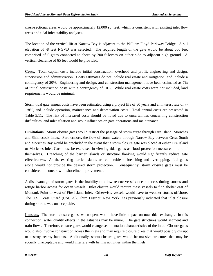cross-sectional areas would be approximately 12,000 sq. feet, which is consistent with existing inlet flow areas and tidal inlet stability analyses.

The location of the vertical lift at Narrow Bay is adjacent to the William Floyd Parkway Bridge. A sill elevation of -8 feet NGVD was selected. The required length of the gate would be about 600 feet comprised of 5 gates connected to shore by 200-ft levees on either side to adjacent high ground. A vertical clearance of 65 feet would be provided.

**Costs.** Total capital costs include initial construction, overhead and profit, engineering and design, supervision and administration. Costs estimates do not include real estate and mitigation, and include a contingency of 20%. Engineering and design, and construction management have been estimated as 7% of initial construction costs with a contingency of 10%. While real estate costs were not included, land requirements would be minimal.

Storm tidal gate annual costs have been estimated using a project life of 50 years and an interest rate of 7- 1/8%, and include operation, maintenance and depreciation costs. Total annual costs are presented in Table 5.11. The risk of increased costs should be noted due to uncertainties concerning construction difficulties, and inlet siltation and scour influences on gate operations and maintenance.

**Limitations.** Storm closure gates would restrict the passage of storm surge through Fire Island, Moriches and Shinnecock Inlets. Furthermore, the flow of storm waters through Narrow Bay between Great South and Moriches Bay would be precluded in the event that a storm closure gate was placed at either Fire Island or Moriches Inlet. Care must be exercised in viewing tidal gates as flood protection measures in and of themselves. Breaching of the barrier islands or structure flanking would significantly reduce gate effectiveness. As the existing barrier islands are vulnerable to breaching and overtopping, tidal gates alone would not provide the desired storm protection. Consequently, storm closure gates must be considered in concert with shoreline improvements.

A disadvantage of storm gates is the inability to allow rescue vessels ocean access during storms and refuge harbor access for ocean vessels. Inlet closure would require these vessels to find shelter east of Montauk Point or west of Fire Island Inlet. Otherwise, vessels would have to weather storms offshore. The U.S. Coast Guard (USCGS), Third District, New York, has previously indicated that inlet closure during storms was unacceptable.

**Impacts.** The storm closure gates, when open, would have little impact on total tidal exchange. In this connection, water quality effects in the estuaries may be minor. The gate structures would segment and train flows. Therefore, closure gates would change sedimentation characteristics of the inlet. Closure gates would also involve construction across the inlets and may require closure dikes that would possibly disrupt or destroy nearby habitats. Additionally, storm closure gates would be massive structures that may be socially unacceptable and would interfere with fishing activities within the inlets.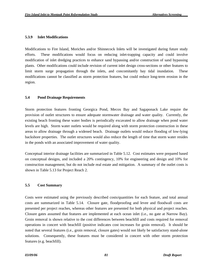### **5.3.9 Inlet Modifications**

Modifications to Fire Island, Moriches and/or Shinnecock Inlets will be investigated during future study efforts. These modifications would focus on reducing inlet-trapping capacity and could involve modification of inlet dredging practices to enhance sand bypassing and/or construction of sand bypassing plants. Other modifications could include revision of current inlet design cross-sections or other features to limit storm surge propagation through the inlets, and concomitantly bay tidal inundation. These modifications cannot be classified as storm protection features, but could reduce long-term erosion in the region.

### **5.4 Pond Drainage Requirements**

Storm protection features fronting Georgica Pond, Mecox Bay and Sagaponack Lake require the provision of outlet structures to ensure adequate stormwater drainage and water quality. Currently, the existing beach fronting these water bodies is periodically excavated to allow drainage when pond water levels are high. Storm water outlets would be required along with storm protection construction in these areas to allow drainage through a widened beach. Drainage outlets would reduce flooding of low-lying backshore properties. The outlet structures would also reduce the length of time that storm water resides in the ponds with an associated improvement of water quality.

Conceptual interior drainage facilities are summarized in Table 5.12. Cost estimates were prepared based on conceptual designs, and included a 20% contingency, 10% for engineering and design and 10% for construction management, but do not include real estate and mitigation. A summary of the outlet costs is shown in Table 5.13 for Project Reach 2.

### **5.5 Cost Summary**

Costs were estimated using the previously described costs/quantities for each feature, and total annual costs are summarized in Table 5.14. Closure gate, floodproofing and levee and floodwall costs are presented per project reaches, whereas other features are presented for both physical and project reaches. Closure gates assumed that features are implemented at each ocean inlet (i.e., no gate at Narrow Bay). Groin removal is shown relative to the cost differences between beachfill and costs required for removal operations in concert with beachfill (positive indicates cost increases for groin removal). It should be noted that several features (i.e., groin removal, closure gates) would not likely be satisfactory stand-alone solutions. Consequently, these features must be considered in concert with other storm protection features (e.g. beachfill).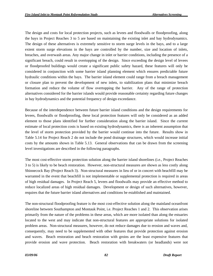The design and costs for local protection projects, such as levees and floodwalls or floodproofing, along the bays in Project Reaches 3 to 5 are based on maintaining the existing inlet and bay hydrodynamics. The design of these alternatives is extremely sensitive to storm surge levels in the bays, and to a large extent storm surge elevations in the bays are controlled by the number, size and location of inlets, breaches, and overwash areas. Any major change in inlet or barrier conditions, including the presence of a significant breach, could result in overtopping of the design. Since exceeding the design level of levees or floodproofed buildings would create a significant public safety hazard, these features will only be considered in conjunction with some barrier island planning element which ensures predictable future hydraulic conditions within the bays. The barrier island element could range from a breach management or closure plan to prevent the development of new inlets, to stabilization plans that minimize breach formation and reduce the volume of flow overtopping the barrier. Any of the range of protection alternatives considered for the barrier islands would provide reasonable certainty regarding future changes in bay hydrodynamics and the potential frequency of design exceedance.

Because of the interdependence between future barrier island conditions and the design requirements for levees, floodwalls or floodproofing, these local protection features will only be considered as an added element to those plans identified for further consideration along the barrier island. Since the current estimate of local protection costs is based on existing hydrodynamics, there is an inherent assumption that the level of storm protection provided by the barrier would continue into the future. Results show in Table 5.14 for Project Reach 2 do not include the pond drainage structures, which would increase initial costs by the amounts shown in Table 5.13. General observations that can be drawn from the screening level investigations are described in the following paragraphs.

The most cost-effective storm protection solution along the barrier island shorelines (i.e., Project Reaches 3 to 5) is likely to be beach restoration. However, non-structural measures are shown as less costly along Shinnecock Bay (Project Reach 3). Non-structural measures in lieu of or in concert with beachfill may be warranted in the event that beachfill is not implementable or supplemental protection is required in areas of high residual damages. In Project Reach 5, levees and floodwalls may provide an effective method to reduce localized areas of high residual damages. Development or design of such alternatives, however, requires that the future barrier island alternatives and conditions be established and maintained.

The non-structural floodproofing feature is the most cost-effective solution along the mainland oceanfront shoreline between Southampton and Montauk Point, i.e. Project Reaches 1 and 2. This observation arises primarily from the nature of the problems in these areas, which are more isolated than along the estuaries located to the west and may indicate that non-structural features are appropriate solutions for isolated problem areas. Non-structural measures, however, do not reduce damages due to erosion and waves and, consequently, may need to be supplemented with other features that provide protection against erosion and waves. Beach restoration and beach restoration with groins are the least expensive features that provide erosion and wave protection. Beach restoration with breakwaters (or headlands) were not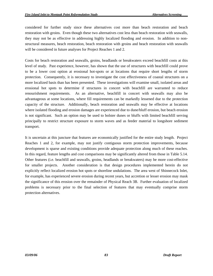considered for further study since these alternatives cost more than beach restoration and beach restoration with groins. Even though these two alternatives cost less than beach restoration with seawalls, they may not be as effective in addressing highly localized flooding and erosion. In addition to nonstructural measures, beach restoration, beach restoration with groins and beach restoration with seawalls will be considered in future analyses for Project Reaches 1 and 2.

Costs for beach restoration and seawalls, groins, headlands or breakwaters exceed beachfill costs at this level of study. Past experience, however, has shown that the use of structures with beachfill could prove to be a lower cost option at erosional hot-spots or at locations that require short lengths of storm protection. Consequently, it is necessary to investigate the cost effectiveness of coastal structures on a more localized basis than has been presented. These investigations will examine small, isolated areas and erosional hot spots to determine if structures in concert with beachfill are warranted to reduce renourishment requirements. As an alternative, beachfill in concert with seawalls may also be advantageous at some locations, where fill requirements can be markedly lessened due to the protection capacity of the structure. Additionally, beach restoration and seawalls may be effective at locations where isolated flooding and erosion damages are experienced due to dune/bluff erosion, but beach erosion is not significant. Such an option may be used to bolster dunes or bluffs with limited beachfill serving principally to restrict structure exposure to storm waves and as feeder material to longshore sediment transport.

It is uncertain at this juncture that features are economically justified for the entire study length. Project Reaches 1 and 2, for example, may not justify contiguous storm protection improvements, because development is sparse and existing conditions provide adequate protection along much of these reaches. In this regard, feature lengths and cost comparisons may be significantly altered from those in Table 5.14. Other features (i.e. beachfill and seawalls, groins, headlands or breakwaters) may be more cost-effective for smaller projects. Another consideration is that design procedures implemented herein do not explicitly reflect localized erosion hot spots or shoreline undulations. The area west of Shinnecock Inlet, for example, has experienced severe erosion during recent years, but accretion or lesser erosion may mask the significance of this erosion over the remainder of Physical Reach 3B. Further evaluation of localized problems is necessary prior to the final selection of features that may eventually comprise storm protection alternatives.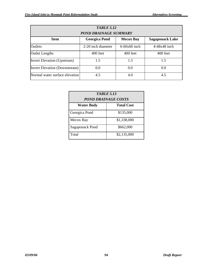| <b>TABLE 5.12</b><br><b>POND DRAINAGE SUMMARY</b> |                    |                |                |  |
|---------------------------------------------------|--------------------|----------------|----------------|--|
|                                                   |                    |                |                |  |
| Outlets                                           | 2-20 inch diameter | $6-60x60$ inch | $4-48x48$ inch |  |
| <b>Outlet Lengths</b>                             | 400 feet           | 400 feet       | 400 feet       |  |
| <b>Invert Elevation (Upstream)</b>                | 1.5                | 1.5            | 1.5            |  |
| <b>Invert Elevation (Downstream)</b>              | 0.0                | 0.0            | 0.0            |  |
| Normal water surface elevation                    | 4.5                | 4.0            | 4.5            |  |

| <b>TABLE 5.13</b><br>POND DRAINAGE COSTS |                   |  |  |
|------------------------------------------|-------------------|--|--|
| <b>Water Body</b>                        | <b>Total Cost</b> |  |  |
| Georgica Pond                            | \$135,000         |  |  |
| Mecox Bay                                | \$1,338,000       |  |  |
| Sagaponack Pond                          | \$662,000         |  |  |
| Total                                    | \$2,135,000       |  |  |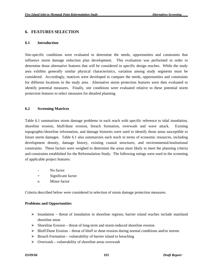## **6. FEATURES SELECTION**

#### **6.1 Introduction**

Site-specific conditions were evaluated to determine the needs, opportunities and constraints that influence storm damage reduction plan development. This evaluation was performed in order to determine those alternative features that will be considered in specific design reaches. While the study area exhibits generally similar physical characteristics, variation among study segments must be considered. Accordingly, matrices were developed to compare the needs, opportunities and constraints for different locations in the study area. Alternative storm protection features were then evaluated to identify potential measures. Finally, site conditions were evaluated relative to these potential storm protection features to select measures for detailed planning.

### **6.2 Screening Matrices**

Table 6.1 summarizes storm damage problems in each reach with specific reference to tidal inundation, shoreline erosion, bluff/dune erosion, breach formation, overwash and wave attack. Existing topographic/shoreline information, and damage histories were used to identify those areas susceptible to future storm damages. Table 6.1 also summarizes each reach in terms of economic resources, including development density, damage history, existing coastal structures, and environmental/institutional constraints. These factors were weighed to determine the areas most likely to meet the planning criteria and constraints established for the Reformulation Study. The following ratings were used in the screening of applicable project features:

- No factor
- + Significant factor
- o Minor factor

Criteria described below were considered in selection of storm damage protection measures.

#### **Problems and Opportunities**

- $\triangleright$  Inundation threat of inundation in shoreline regions; barrier island reaches include mainland shoreline areas
- $\triangleright$  Shoreline Erosion threat of long-term and storm-induced shoreline erosion
- $\triangleright$  Bluff/Dune Erosion threat of bluff or dune erosion during normal conditions and/or storms
- $\triangleright$  Breach Formation vulnerability of barrier island to breaching
- $\triangleright$  Overwash vulnerability of shoreline areas overwash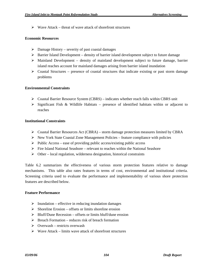$\triangleright$  Wave Attack – threat of wave attack of shorefront structures

### **Economic Resources**

- $\triangleright$  Damage History severity of past coastal damages
- $\triangleright$  Barrier Island Development density of barrier island development subject to future damage
- $\triangleright$  Mainland Development density of mainland development subject to future damage, barrier island reaches account for mainland damages arising from barrier island inundation
- $\triangleright$  Coastal Structures presence of coastal structures that indicate existing or past storm damage problems

### **Environmental Constraints**

- $\triangleright$  Coastal Barrier Resource System (CBRS) indicates whether reach falls within CBRS unit
- $\triangleright$  Significant Fish & Wildlife Habitats presence of identified habitats within or adjacent to reaches

### **Institutional Constraints**

- ¾ Coastal Barrier Resources Act (CBRA) storm damage protection measures limited by CBRA
- $\triangleright$  New York State Coastal Zone Management Policies feature compliance with policies
- $\triangleright$  Public Access ease of providing public access/existing public access
- $\triangleright$  Fire Island National Seashore relevant to reaches within the National Seashore
- $\triangleright$  Other local regulation, wilderness designation, historical constraints

Table 6.2 summarizes the effectiveness of various storm protection features relative to damage mechanisms. This table also rates features in terms of cost, environmental and institutional criteria. Screening criteria used to evaluate the performance and implementability of various shore protection features are described below.

#### **Feature Performance**

- $\triangleright$  Inundation effective in reducing inundation damages
- $\triangleright$  Shoreline Erosion offsets or limits shoreline erosion
- $\triangleright$  Bluff/Dune Recession offsets or limits bluff/dune erosion
- $\triangleright$  Breach Formation reduces risk of breach formation
- $\triangleright$  Overwash restricts overwash
- $\triangleright$  Wave Attack limits wave attack of shorefront structures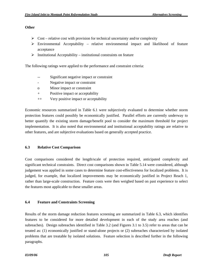### **Other**

- $\triangleright$  Cost relative cost with provision for technical uncertainty and/or complexity
- $\triangleright$  Environmental Acceptability relative environmental impact and likelihood of feature acceptance
- $\triangleright$  Institutional Acceptability institutional constraints on feature

The following ratings were applied to the performance and constraint criteria:

- -- Significant negative impact or constraint
- Negative impact or constraint
- o Minor impact or constraint
- + Positive impact or acceptability
- ++ Very positive impact or acceptability

Economic resources summarized in Table 6.1 were subjectively evaluated to determine whether storm protection features could possibly be economically justified. Parallel efforts are currently underway to better quantify the existing storm damage/benefit pool to consider the maximum threshold for project implementation. It is also noted that environmental and institutional acceptability ratings are relative to other features, and are subjective evaluations based on generally accepted practice.

### **6.3 Relative Cost Comparison**

Cost comparisons considered the length/scale of protection required, anticipated complexity and significant technical constraints. Direct cost comparisons shown in Table 5.14 were considered, although judgement was applied in some cases to determine feature cost-effectiveness for localized problems. It is judged, for example, that localized improvements may be economically justified in Project Reach 1, rather than large-scale construction. Feature costs were then weighed based on past experience to select the features most applicable to these smaller areas.

### **6.4 Feature and Constraints Screening**

Results of the storm damage reduction features screening are summarized in Table 6.3, which identifies features to be considered for more detailed development in each of the study area reaches (and subreaches). Design subreaches identified in Table 3.2 (and Figures 3.1 to 3.5) refer to areas that can be treated as: (1) economically justified or stand-alone projects or (2) subreaches characterized by isolated problems that are treatable by isolated solutions. Feature selection is described further in the following paragraphs.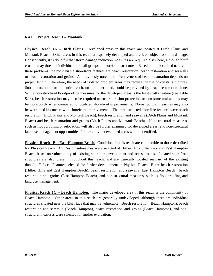#### **6.4.1 Project Reach 1 – Montauk**

**Physical Reach 1A – Ditch Plains.** Developed areas in this reach are located at Ditch Plains and Montauk Beach. Other areas in this reach are sparsely developed and are less subject to storm damage. Consequently, it is doubtful that storm damage reduction measures are required elsewhere, although bluff erosion may threaten individual or small groups of shorefront structures. Based on the localized nature of these problems, the most viable shorefront features are beach restoration, beach restoration and seawalls or beach restoration and groins. As previously noted, the effectiveness of beach restoration depends on project length. Therefore, the needs of isolated problem areas may require the use of coastal structures. Storm protection for the entire reach, on the other hand, could be provided by beach restoration alone. While non-structural floodproofing measures for the developed areas is the least costly feature (see Table 5.14), beach restoration may also be required to ensure erosion protection or non-structural actions may be more costly when compared to localized shorefront improvements. Non-structural measures may also be warranted in concert with shorefront improvements. The three selected shoreline features were beach restoration (Ditch Plains and Montauk Beach), beach restoration and seawalls (Ditch Plains and Montauk Beach) and beach restoration and groins (Ditch Plains and Montauk Beach). Non-structural measures, such as floodproofing or relocation, will also be further examined for developed areas, and non-structural land use management opportunities for currently undeveloped areas will be identified.

**Physical Reach 1B – East Hampton Beach.** Conditions in this reach are comparable to those described for Physical Reach 1A. Design subreaches were selected at Hither Hills State Park and East Hampton Beach, based on vulnerability of existing shoreline development and access routes. Isolated shorefront structures are also present throughout this reach, and are generally located seaward of the existing dune/bluff face. Features selected for further development in Physical Reach 1B are beach restoration (Hither Hills and East Hampton Beach), beach restoration and seawalls (East Hampton Beach), beach restoration and groins (East Hampton Beach), and non-structural measures, such as floodproofing and land use management.

**Physical Reach 1C – Beach Hampton.** The major developed area in this reach is the community of Beach Hampton. Other areas in this reach are generally undeveloped, although there are individual structures situated near the bluff face that may be vulnerable. Beach restoration (Beach Hampton), beach restoration and seawalls (Beach Hampton), beach restoration and groins (Beach Hampton), and nonstructural measures were selected for further evaluation.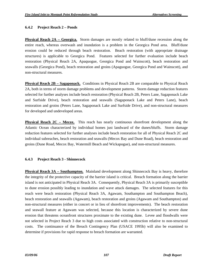## **6.4.2 Project Reach 2 – Ponds**

**Physical Reach 2A – Georgica.** Storm damages are mostly related to bluff/dune recession along the entire reach, whereas overwash and inundation is a problem in the Georgica Pond area. Bluff/dune erosion could be reduced through beach restoration. Beach restoration (with appropriate drainage structures) is applicable to Georgica Pond. Features selected for further evaluation include beach restoration (Physical Reach 2A, Apaquogue, Georgica Pond and Wainscott), beach restoration and seawalls (Georgica Pond), beach restoration and groins (Apaguogue, Georgica Pond and Wainscott), and non-structural measures.

**Physical Reach 2B – Sagaponack.** Conditions in Physical Reach 2B are comparable to Physical Reach 2A, both in terms of storm damage problems and development patterns. Storm damage reduction features selected for further analyses include beach restoration (Physical Reach 2B, Peters Lane, Sagaponack Lake and Surfside Drive), beach restoration and seawalls (Sagaponack Lake and Peters Lane), beach restoration and groins (Peters Lane, Sagaponack Lake and Surfside Drive), and non-structural measures for developed and undeveloped areas.

**Physical Reach 2C – Mecox.** This reach has nearly continuous shorefront development along the Atlantic Ocean characterized by individual homes just landward of the dunes/bluffs. Storm damage reduction features selected for further analyses include beach restoration for all of Physical Reach 2C and individual subreaches, beach restoration and seawalls (Mecox Bay and Dune Road), beach restoration and groins (Dune Road, Mecox Bay, Watermill Beach and Wickapogue), and non-structural measures.

# **6.4.3 Project Reach 3 - Shinnecock**

**Physical Reach 3A – Southampton.** Mainland development along Shinnecock Bay is heavy, therefore the integrity of the protective capacity of the barrier island is critical. Breach formation along the barrier island is not anticipated in Physical Reach 3A. Consequently, Physical Reach 3A is primarily susceptible to dune erosion possibly leading to inundation and wave attack damages. The selected features for this reach were beach restoration (Physical Reach 3A, Agawam, Southampton and Southampton Beach), beach restoration and seawalls (Agawam), beach restoration and groins (Agawam and Southampton) and non-structural measures (either in concert or in lieu of shorefront improvements). The beach restoration and seawall feature at Agawam was selected, because this location is characterized by severe dune erosion that threatens oceanfront structures proximate to the existing dune. Levee and floodwalls were not selected in Project Reach 3 due to high costs associated with construction relative to non-structural costs. The continuance of the Breach Contingency Plan (USACE 1995b) will also be examined to determine if provisions for rapid response to breach formation are warranted.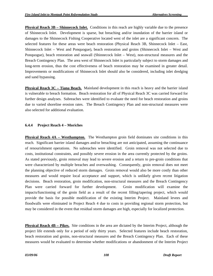**Physical Reach 3B – Shinnecock Inlet.** Conditions in this reach are highly variable due to the presence of Shinnecock Inlet. Development is sparse, but breaching and/or inundation of the barrier island or damages to the Shinnecock Fishing Cooperative located west of the inlet are a significant concern. The selected features for these areas were beach restoration (Physical Reach 3B, Shinnecock Inlet – East, Shinnecock Inlet – West and Ponquogue), beach restoration and groins (Shinnecock Inlet – West and Ponquogue), beach restoration and seawall (Shinnecock Inlet – West), non-structural measures and the Breach Contingency Plan. The area west of Shinnecock Inlet is particularly subject to storm damages and long-term erosion, thus the cost effectiveness of beach restoration may be examined in greater detail. Improvements or modifications of Shinnecock Inlet should also be considered, including inlet dredging and sand bypassing.

**Physical Reach 3C – Tiana Beach.** Mainland development in this reach is heavy and the barrier island is vulnerable to breach formation. Beach restoration for all of Physical Reach 3C was carried forward for further design analyses. Subreaches were identified to evaluate the need for beach restoration and groins due to varied shoreline erosion rates. The Breach Contingency Plan and non-structural measures were also selected for additional evaluation.

### **6.4.4 Project Reach 4 – Moriches**

**Physical Reach 4A – Westhampton.** The Westhampton groin field dominates site conditions in this reach. Significant barrier island damages and/or breaching are not anticipated, assuming the continuance of renourishment operations. No subreaches were identified. Groin removal was not selected due to costs, institutional constraints, and possibly severe erosion in the area currently protected by the groins. As stated previously, groin removal may lead to severe erosion and a return to pre-groin conditions that were characterized by multiple breaches and overwashing. Consequently, groin removal does not meet the planning objective of reduced storm damages. Groin removal would also be more costly than other measures and would require local acceptance and support, which is unlikely given recent litigation decisions. Beach restoration, groin modification, non-structural measures and the Breach Contingency Plan were carried forward for further development. Groin modification will examine the impacts/functioning of the groin field as a result of the recent filling/tapering project, which would provide the basis for possible modification of the existing Interim Project. Mainland levees and floodwalls were eliminated in Project Reach 4 due to costs in providing regional storm protection, but may be considered in the event that residual storm damages are high, especially for localized protection.

**Physical Reach 4B – Pikes.** Site conditions in the area are dictated by the Interim Project, although the project life extends only for a period of only thirty years. Selected features include beach restoration, beach restoration and groins, non-structural measures and the Breach Contingency Plan. Each of these measures would be evaluated to determine whether modifications or abandonment of the Interim Project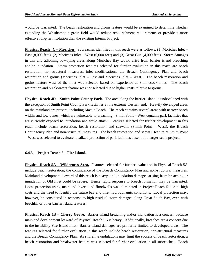would be warranted. The beach restoration and groins feature would be examined to determine whether extending the Westhampton groin field would reduce renourishment requirements or provide a more effective long-term solution than the existing Interim Project.

**Physical Reach 4C – Moriches.** Subreaches identified in this reach were as follows: (1) Moriches Inlet – East (8,000 feet), (2) Moriches Inlet – West (6,000 feet) and (3) Great Gun (4,000 feet). Storm damages in this and adjoining low-lying areas along Moriches Bay would arise from barrier island breaching and/or inundation. Storm protection features selected for further evaluation in this reach are beach restoration, non-structural measures, inlet modifications, the Breach Contingency Plan and beach restoration and groins (Moriches Inlet – East and Moriches Inlet – West). The beach restoration and groins feature west of the inlet was selected based on experience at Shinnecock Inlet. The beach restoration and breakwaters feature was not selected due to higher costs relative to groins.

**Physical Reach 4D – Smith Point County Park.** The area along the barrier island is undeveloped with the exception of Smith Point County Park facilities at the extreme western end. Heavily developed areas on the mainland are present, including Mastic Beach. The reach contains several areas with narrow beach widths and low dunes, which are vulnerable to breaching. Smith Point – West contains park facilities that are currently exposed to inundation and wave attack. Features selected for further development in this reach include beach restoration, beach restoration and seawalls (Smith Point – West), the Breach Contingency Plan and non-structural measures. The beach restoration and seawall feature at Smith Point – West was selected to evaluate localized protection of park facilities absent of a larger-scale project.

### **6.4.5 Project Reach 5 – Fire Island.**

**Physical Reach 5A – Wilderness Area.** Features selected for further evaluation in Physical Reach 5A include beach restoration, the continuance of the Breach Contingency Plan and non-structural measures. Mainland development leeward of this reach is heavy, and inundation damages arising from breaching or inundation of Old Inlet could be severe. Hence, rapid response to breach formation may be warranted. Local protection using mainland levees and floodwalls was eliminated in Project Reach 5 due to high costs and the need to identify the future bay and inlet hydrodynamic conditions. Local protection may, however, be considered in response to high residual storm damages along Great South Bay, even with beachfill or other barrier island features.

**Physical Reach 5B – Cherry Grove.** Barrier island breaching and/or inundation is a concern because mainland development leeward of Physical Reach 5B is heavy. Additionally, breaches are a concern due to the instability Fire Island Inlet. Barrier island damages are primarily limited to developed areas. The features selected for further evaluation in this reach include beach restoration, non-structural measures and the Breach Contingency Plan. As shoreline undulations may limit the success of beach restoration, a beach restoration and breakwater feature was selected for further evaluation in all subreaches. Beach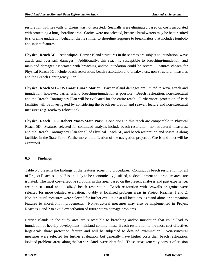restoration with seawalls or groins was not selected. Seawalls were eliminated based on costs associated with protecting a long shoreline area. Groins were not selected, because breakwaters may be better suited to shoreline undulation behavior that is similar to shoreline response to breakwaters that includes tombolo and salient features.

**Physical Reach 5C – Atlantique.** Barrier island structures in these areas are subject to inundation, wave attack and overwash damages. Additionally, this reach is susceptible to breaching/inundation, and mainland damages associated with breaching and/or inundation could be severe. Features chosen for Physical Reach 5C include beach restoration, beach restoration and breakwaters, non-structural measures and the Breach Contingency Plan.

**Physical Reach 5D – US Coast Guard Station.** Barrier island damages are limited to wave attack and inundation, however, barrier island breaching/inundation is possible. Beach restoration, non-structural and the Breach Contingency Plan will be evaluated for the entire reach. Furthermore, protection of Park facilities will be investigated by considering the beach restoration and seawall feature and non-structural measures (e.g. roadway relocation).

**Physical Reach 5E – Robert Moses State Park.** Conditions in this reach are comparable to Physical Reach 5D. Features selected for continued analysis include beach restoration, non-structural measures, and the Breach Contingency Plan for all of Physical Reach 5E, and beach restoration and seawalls along facilities in the State Park. Furthermore, modification of the navigation project at Fire Island Inlet will be examined.

# **6.5 Findings**

Table 5.3 presents the findings of the features screening procedures. Continuous beach restoration for all of Project Reaches 1 and 2 is unlikely to be economically justified, as development and problem areas are isolated. The most cost-effective solutions in this area, based on the present analyses and past experience, are non-structural and localized beach restoration. Beach restoration with seawalls or groins were selected for more detailed evaluation, notably at localized problem areas in Project Reaches 1 and 2. Non-structural measures were selected for further evaluation at all locations, as stand-alone or companion features to shorefront improvements. Non-structural measures may also be implemented in Project Reaches 1 and 2 to avoid exacerbation of future storm damage problems.

Barrier islands in the study area are susceptible to breaching and/or inundation that could lead to inundation of heavily development mainland communities. Beach restoration is the most cost-effective, large-scale shore protection feature and will be subjected to detailed examination. Non-structural measures were selected for further evaluation, but generally have higher costs than beach restoration. Isolated problems areas along the barrier islands were identified. These areas generally consist of erosion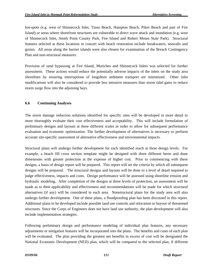hot-spots (e.g. west of Shinnecock Inlet, Tiana Beach, Hampton Beach, Pikes Beach and part of Fire Island) or areas where shorefront structures are vulnerable to direct wave attack and inundation (e.g. west of Shinnecock Inlet, Smith Point County Park, Fire Island and Robert Moses State Park). Structural features selected at these locations in concert with beach restoration include breakwaters, seawalls and groins. All areas along the barrier islands were also chosen for examination of the Breach Contingency Plan and non-structural measures.

Provision of sand bypassing at Fire Island, Moriches and Shinnecock Inlets was selected for further assessment. These actions would reduce the potentially adverse impacts of the inlets on the study area shorelines by ensuring interruptions of longshore sediment transport are minimized. Other inlet modifications will also be considered to provide less intrusive measures than storm tidal gates to reduce storm surge flow into the adjoining bays.

### **6.6 Continuing Analyses**

The storm damage reduction solutions identified for specific sites will be developed in more detail to more thoroughly evaluate their cost effectiveness and acceptability. This will include formulation of preliminary designs and layouts at three different scales in order to allow for subsequent performance evaluation and economic optimization. The further development of alternatives is necessary to perform accurate site-specific assessment of alternative effectiveness and environmental impacts.

Structural plans will undergo further development for each identified reach at three design levels. For example, a beach fill cross section template might be designed with three different berm and dune dimensions with greater protection at the expense of higher cost. Prior to commencing with these designs, a basis of design report will be prepared. This report will set the criteria by which all subsequent designs will be prepared. The structural designs and layouts will be done to a level of detail required to judge effectiveness, impacts and costs. Design performance will be assessed using shoreline erosion and hydraulic modeling. After completion of the designs at three levels of protection, an assessment will be made as to their applicability and effectiveness and recommendations will be made for which structural alternatives (if any) will be considered in each area. Nonstructural plans for the study area will also undergo further development. One of these plans, a floodproofing plan has been discussed in this report. Additional plans to be developed include possible land use controls and relocation or buyout of threatened structures. Since the Corps of Engineers does not have land use authority, the plan development will also include implementation strategies.

Following preliminary design and performance modeling of individual plan features, any necessary adjustments or mitigation features will be incorporated into the plans. The benefits and costs of each plan will be evaluated. The plan providing the greatest net benefits in excess of cost will be designated the National Economic Development (NED) plan, which will be compared to the selected plan, if different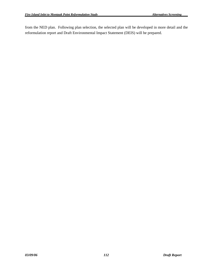from the NED plan. Following plan selection, the selected plan will be developed in more detail and the reformulation report and Draft Environmental Impact Statement (DEIS) will be prepared.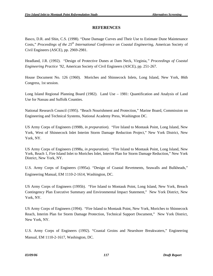# **REFERENCES**

Basco, D.R. and Shin, C.S. (1998). "Dune Damage Curves and Their Use to Estimate Dune Maintenance Costs," *Proceedings of the 25th International Conference on Coastal Engineering*, American Society of Civil Engineers (ASCE), pp. 2969-2981.

Headland, J.R. (1992). "Design of Protective Dunes at Dam Neck, Virginia*," Proceedings of Coastal Engineering Practice '92*, American Society of Civil Engineers (ASCE), pp. 251-267.

House Document No. 126 (1960). Moriches and Shinnecock Inlets, Long Island, New York, 86th Congress, 1st session.

Long Island Regional Planning Board (1982). Land Use – 1981: Quantification and Analysis of Land Use for Nassau and Suffolk Counties.

National Research Council (1995). "Beach Nourishment and Protection," Marine Board, Commission on Engineering and Technical Systems, National Academy Press, Washington DC.

US Army Corps of Engineers (1998b, *in preparation*). "Fire Island to Montauk Point, Long Island, New York, West of Shinnecock Inlet Interim Storm Damage Reduction Project," New York District, New York, NY.

US Army Corps of Engineers (1998a, *in preparation*). "Fire Island to Montauk Point, Long Island, New York, Reach 1, Fire Island Inlet to Moriches Inlet, Interim Plan for Storm Damage Reduction," New York District, New York, NY.

U.S. Army Corps of Engineers (1995a). "Design of Coastal Revetments, Seawalls and Bulkheads," Engineering Manual, EM 1110-2-1614, Washington, DC.

US Army Corps of Engineers (1995b). "Fire Island to Montauk Point, Long Island, New York, Breach Contingency Plan Executive Summary and Environmental Impact Statement," New York District, New York, NY.

US Army Corps of Engineers (1994). "Fire Island to Montauk Point, New York, Moriches to Shinnecock Reach, Interim Plan for Storm Damage Protection, Technical Support Document," New York District, New York, NY.

U.S. Army Corps of Engineers (1992). "Coastal Groins and Nearshore Breakwaters," Engineering Manual, EM 1110-2-1617, Washington, DC.